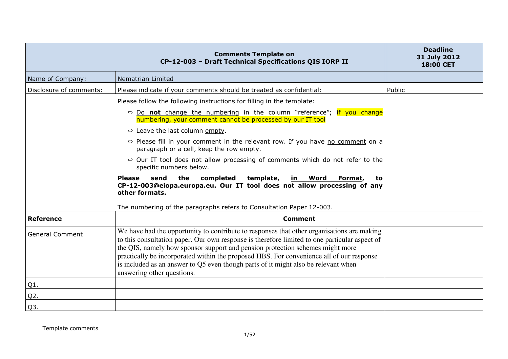|                         | <b>Comments Template on</b><br>CP-12-003 - Draft Technical Specifications QIS IORP II                                                                                                                                                                                                                                                                                                                                                                                                        | <b>Deadline</b><br>31 July 2012<br><b>18:00 CET</b> |
|-------------------------|----------------------------------------------------------------------------------------------------------------------------------------------------------------------------------------------------------------------------------------------------------------------------------------------------------------------------------------------------------------------------------------------------------------------------------------------------------------------------------------------|-----------------------------------------------------|
| Name of Company:        | Nematrian Limited                                                                                                                                                                                                                                                                                                                                                                                                                                                                            |                                                     |
| Disclosure of comments: | Please indicate if your comments should be treated as confidential:                                                                                                                                                                                                                                                                                                                                                                                                                          | Public                                              |
|                         | Please follow the following instructions for filling in the template:                                                                                                                                                                                                                                                                                                                                                                                                                        |                                                     |
|                         | $\Rightarrow$ Do not change the numbering in the column "reference"; if you change<br>numbering, your comment cannot be processed by our IT tool                                                                                                                                                                                                                                                                                                                                             |                                                     |
|                         | $\Rightarrow$ Leave the last column empty.                                                                                                                                                                                                                                                                                                                                                                                                                                                   |                                                     |
|                         | $\Rightarrow$ Please fill in your comment in the relevant row. If you have no comment on a<br>paragraph or a cell, keep the row empty.                                                                                                                                                                                                                                                                                                                                                       |                                                     |
|                         | $\Rightarrow$ Our IT tool does not allow processing of comments which do not refer to the<br>specific numbers below.                                                                                                                                                                                                                                                                                                                                                                         |                                                     |
|                         | the<br>completed<br>template,<br><b>Please</b><br>send<br><u>in Word</u><br>Format,<br>to.<br>CP-12-003@eiopa.europa.eu. Our IT tool does not allow processing of any<br>other formats.                                                                                                                                                                                                                                                                                                      |                                                     |
|                         | The numbering of the paragraphs refers to Consultation Paper 12-003.                                                                                                                                                                                                                                                                                                                                                                                                                         |                                                     |
| <b>Reference</b>        | <b>Comment</b>                                                                                                                                                                                                                                                                                                                                                                                                                                                                               |                                                     |
| <b>General Comment</b>  | We have had the opportunity to contribute to responses that other organisations are making<br>to this consultation paper. Our own response is therefore limited to one particular aspect of<br>the QIS, namely how sponsor support and pension protection schemes might more<br>practically be incorporated within the proposed HBS. For convenience all of our response<br>is included as an answer to Q5 even though parts of it might also be relevant when<br>answering other questions. |                                                     |
| $Q1$ .                  |                                                                                                                                                                                                                                                                                                                                                                                                                                                                                              |                                                     |
| $Q2$ .                  |                                                                                                                                                                                                                                                                                                                                                                                                                                                                                              |                                                     |
| Q <sub>3</sub> .        |                                                                                                                                                                                                                                                                                                                                                                                                                                                                                              |                                                     |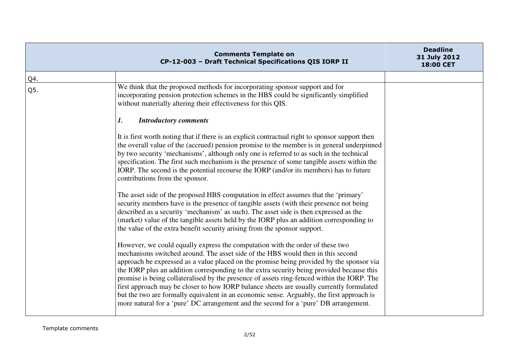|     | <b>Comments Template on</b><br>CP-12-003 - Draft Technical Specifications QIS IORP II                                                                                                                                                                                                                                                                                                                                                                                                                                                                                                                                                                                                                                                    | <b>Deadline</b><br>31 July 2012<br>18:00 CET |
|-----|------------------------------------------------------------------------------------------------------------------------------------------------------------------------------------------------------------------------------------------------------------------------------------------------------------------------------------------------------------------------------------------------------------------------------------------------------------------------------------------------------------------------------------------------------------------------------------------------------------------------------------------------------------------------------------------------------------------------------------------|----------------------------------------------|
| Q4. |                                                                                                                                                                                                                                                                                                                                                                                                                                                                                                                                                                                                                                                                                                                                          |                                              |
| Q5. | We think that the proposed methods for incorporating sponsor support and for<br>incorporating pension protection schemes in the HBS could be significantly simplified<br>without materially altering their effectiveness for this QIS.                                                                                                                                                                                                                                                                                                                                                                                                                                                                                                   |                                              |
|     | 1.<br><b>Introductory comments</b>                                                                                                                                                                                                                                                                                                                                                                                                                                                                                                                                                                                                                                                                                                       |                                              |
|     | It is first worth noting that if there is an explicit contractual right to sponsor support then<br>the overall value of the (accrued) pension promise to the member is in general underpinned<br>by two security 'mechanisms', although only one is referred to as such in the technical<br>specification. The first such mechanism is the presence of some tangible assets within the<br>IORP. The second is the potential recourse the IORP (and/or its members) has to future<br>contributions from the sponsor.                                                                                                                                                                                                                      |                                              |
|     | The asset side of the proposed HBS computation in effect assumes that the 'primary'<br>security members have is the presence of tangible assets (with their presence not being<br>described as a security 'mechanism' as such). The asset side is then expressed as the<br>(market) value of the tangible assets held by the IORP plus an addition corresponding to<br>the value of the extra benefit security arising from the sponsor support.                                                                                                                                                                                                                                                                                         |                                              |
|     | However, we could equally express the computation with the order of these two<br>mechanisms switched around. The asset side of the HBS would then in this second<br>approach be expressed as a value placed on the promise being provided by the sponsor via<br>the IORP plus an addition corresponding to the extra security being provided because this<br>promise is being collateralised by the presence of assets ring-fenced within the IORP. The<br>first approach may be closer to how IORP balance sheets are usually currently formulated<br>but the two are formally equivalent in an economic sense. Arguably, the first approach is<br>more natural for a 'pure' DC arrangement and the second for a 'pure' DB arrangement. |                                              |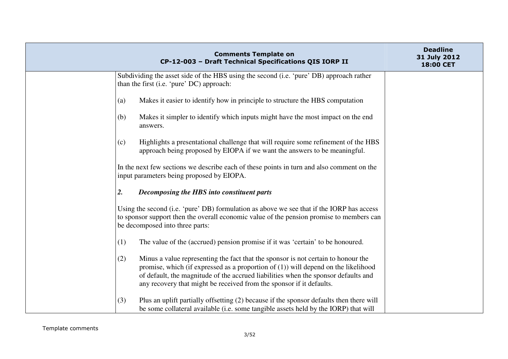| <b>Comments Template on</b><br>CP-12-003 - Draft Technical Specifications QIS IORP II                                                                                                                                                                                                                                                           | <b>Deadline</b><br>31 July 2012<br>18:00 CET |
|-------------------------------------------------------------------------------------------------------------------------------------------------------------------------------------------------------------------------------------------------------------------------------------------------------------------------------------------------|----------------------------------------------|
| Subdividing the asset side of the HBS using the second (i.e. 'pure' DB) approach rather<br>than the first (i.e. 'pure' DC) approach:                                                                                                                                                                                                            |                                              |
| Makes it easier to identify how in principle to structure the HBS computation<br>(a)                                                                                                                                                                                                                                                            |                                              |
| Makes it simpler to identify which inputs might have the most impact on the end<br>(b)<br>answers.                                                                                                                                                                                                                                              |                                              |
| Highlights a presentational challenge that will require some refinement of the HBS<br>(c)<br>approach being proposed by EIOPA if we want the answers to be meaningful.                                                                                                                                                                          |                                              |
| In the next few sections we describe each of these points in turn and also comment on the<br>input parameters being proposed by EIOPA.                                                                                                                                                                                                          |                                              |
| 2.<br>Decomposing the HBS into constituent parts                                                                                                                                                                                                                                                                                                |                                              |
| Using the second (i.e. 'pure' DB) formulation as above we see that if the IORP has access<br>to sponsor support then the overall economic value of the pension promise to members can<br>be decomposed into three parts:                                                                                                                        |                                              |
| (1)<br>The value of the (accrued) pension promise if it was 'certain' to be honoured.                                                                                                                                                                                                                                                           |                                              |
| Minus a value representing the fact that the sponsor is not certain to honour the<br>(2)<br>promise, which (if expressed as a proportion of $(1)$ ) will depend on the likelihood<br>of default, the magnitude of the accrued liabilities when the sponsor defaults and<br>any recovery that might be received from the sponsor if it defaults. |                                              |
| Plus an uplift partially offsetting (2) because if the sponsor defaults then there will<br>(3)<br>be some collateral available (i.e. some tangible assets held by the IORP) that will                                                                                                                                                           |                                              |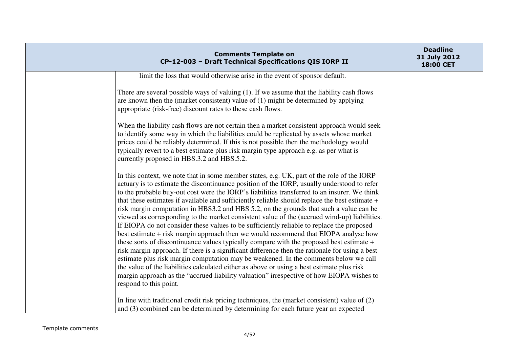| <b>Comments Template on</b><br>CP-12-003 - Draft Technical Specifications QIS IORP II                                                                                                                                                                                                                                                                                                                                                                                                                                                                                                                                                                                                                                                                                                                                                                                                                                                                                                                                                                                                                                                                                                                                                                                               | <b>Deadline</b><br>31 July 2012<br>18:00 CET |
|-------------------------------------------------------------------------------------------------------------------------------------------------------------------------------------------------------------------------------------------------------------------------------------------------------------------------------------------------------------------------------------------------------------------------------------------------------------------------------------------------------------------------------------------------------------------------------------------------------------------------------------------------------------------------------------------------------------------------------------------------------------------------------------------------------------------------------------------------------------------------------------------------------------------------------------------------------------------------------------------------------------------------------------------------------------------------------------------------------------------------------------------------------------------------------------------------------------------------------------------------------------------------------------|----------------------------------------------|
| limit the loss that would otherwise arise in the event of sponsor default.                                                                                                                                                                                                                                                                                                                                                                                                                                                                                                                                                                                                                                                                                                                                                                                                                                                                                                                                                                                                                                                                                                                                                                                                          |                                              |
| There are several possible ways of valuing (1). If we assume that the liability cash flows<br>are known then the (market consistent) value of $(1)$ might be determined by applying<br>appropriate (risk-free) discount rates to these cash flows.                                                                                                                                                                                                                                                                                                                                                                                                                                                                                                                                                                                                                                                                                                                                                                                                                                                                                                                                                                                                                                  |                                              |
| When the liability cash flows are not certain then a market consistent approach would seek<br>to identify some way in which the liabilities could be replicated by assets whose market<br>prices could be reliably determined. If this is not possible then the methodology would<br>typically revert to a best estimate plus risk margin type approach e.g. as per what is<br>currently proposed in HBS.3.2 and HBS.5.2.                                                                                                                                                                                                                                                                                                                                                                                                                                                                                                                                                                                                                                                                                                                                                                                                                                                           |                                              |
| In this context, we note that in some member states, e.g. UK, part of the role of the IORP<br>actuary is to estimate the discontinuance position of the IORP, usually understood to refer<br>to the probable buy-out cost were the IORP's liabilities transferred to an insurer. We think<br>that these estimates if available and sufficiently reliable should replace the best estimate +<br>risk margin computation in HBS3.2 and HBS 5.2, on the grounds that such a value can be<br>viewed as corresponding to the market consistent value of the (accrued wind-up) liabilities.<br>If EIOPA do not consider these values to be sufficiently reliable to replace the proposed<br>best estimate + risk margin approach then we would recommend that EIOPA analyse how<br>these sorts of discontinuance values typically compare with the proposed best estimate +<br>risk margin approach. If there is a significant difference then the rationale for using a best<br>estimate plus risk margin computation may be weakened. In the comments below we call<br>the value of the liabilities calculated either as above or using a best estimate plus risk<br>margin approach as the "accrued liability valuation" irrespective of how EIOPA wishes to<br>respond to this point. |                                              |
| In line with traditional credit risk pricing techniques, the (market consistent) value of (2)<br>and (3) combined can be determined by determining for each future year an expected                                                                                                                                                                                                                                                                                                                                                                                                                                                                                                                                                                                                                                                                                                                                                                                                                                                                                                                                                                                                                                                                                                 |                                              |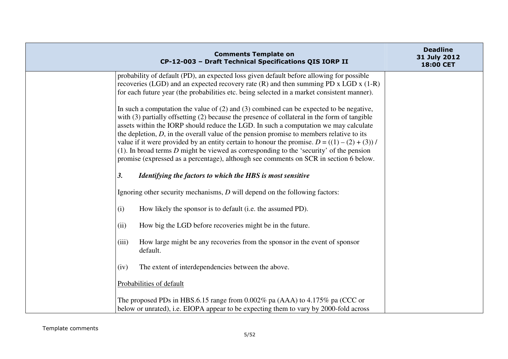| <b>Comments Template on</b><br>CP-12-003 - Draft Technical Specifications QIS IORP II                                                                                                                                                                                                                                                                                                                                                                                                                                                                                                                                                                                        | <b>Deadline</b><br>31 July 2012<br>18:00 CET |
|------------------------------------------------------------------------------------------------------------------------------------------------------------------------------------------------------------------------------------------------------------------------------------------------------------------------------------------------------------------------------------------------------------------------------------------------------------------------------------------------------------------------------------------------------------------------------------------------------------------------------------------------------------------------------|----------------------------------------------|
| probability of default (PD), an expected loss given default before allowing for possible<br>recoveries (LGD) and an expected recovery rate $(R)$ and then summing PD x LGD x $(1-R)$<br>for each future year (the probabilities etc. being selected in a market consistent manner).                                                                                                                                                                                                                                                                                                                                                                                          |                                              |
| In such a computation the value of $(2)$ and $(3)$ combined can be expected to be negative,<br>with (3) partially offsetting (2) because the presence of collateral in the form of tangible<br>assets within the IORP should reduce the LGD. In such a computation we may calculate<br>the depletion, $D$ , in the overall value of the pension promise to members relative to its<br>value if it were provided by an entity certain to honour the promise. $D = ((1) - (2) + (3))$ /<br>$(1)$ . In broad terms D might be viewed as corresponding to the 'security' of the pension<br>promise (expressed as a percentage), although see comments on SCR in section 6 below. |                                              |
| <b>3.</b><br>Identifying the factors to which the HBS is most sensitive                                                                                                                                                                                                                                                                                                                                                                                                                                                                                                                                                                                                      |                                              |
| Ignoring other security mechanisms, $D$ will depend on the following factors:                                                                                                                                                                                                                                                                                                                                                                                                                                                                                                                                                                                                |                                              |
| (i)<br>How likely the sponsor is to default (i.e. the assumed PD).                                                                                                                                                                                                                                                                                                                                                                                                                                                                                                                                                                                                           |                                              |
| How big the LGD before recoveries might be in the future.<br>(ii)                                                                                                                                                                                                                                                                                                                                                                                                                                                                                                                                                                                                            |                                              |
| How large might be any recoveries from the sponsor in the event of sponsor<br>(iii)<br>default.                                                                                                                                                                                                                                                                                                                                                                                                                                                                                                                                                                              |                                              |
| (iv)<br>The extent of interdependencies between the above.                                                                                                                                                                                                                                                                                                                                                                                                                                                                                                                                                                                                                   |                                              |
| Probabilities of default                                                                                                                                                                                                                                                                                                                                                                                                                                                                                                                                                                                                                                                     |                                              |
| The proposed PDs in HBS.6.15 range from $0.002\%$ pa (AAA) to 4.175% pa (CCC or<br>below or unrated), i.e. EIOPA appear to be expecting them to vary by 2000-fold across                                                                                                                                                                                                                                                                                                                                                                                                                                                                                                     |                                              |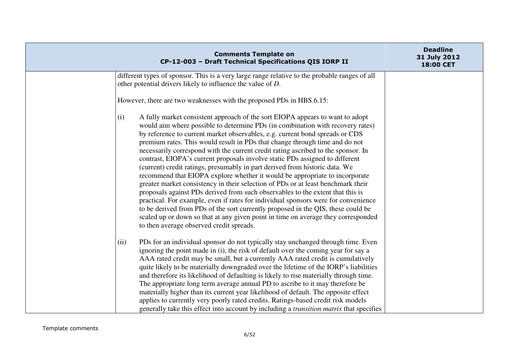|                                                                      | <b>Comments Template on</b><br>CP-12-003 - Draft Technical Specifications QIS IORP II                                                                                                                                                                                                                                                                                                                                                                                                                                                                                                                                                                                                                                                                                                                                                                                                                                                                                                                                                                                                                  | <b>Deadline</b><br>31 July 2012<br>18:00 CET |
|----------------------------------------------------------------------|--------------------------------------------------------------------------------------------------------------------------------------------------------------------------------------------------------------------------------------------------------------------------------------------------------------------------------------------------------------------------------------------------------------------------------------------------------------------------------------------------------------------------------------------------------------------------------------------------------------------------------------------------------------------------------------------------------------------------------------------------------------------------------------------------------------------------------------------------------------------------------------------------------------------------------------------------------------------------------------------------------------------------------------------------------------------------------------------------------|----------------------------------------------|
| other potential drivers likely to influence the value of D.          | different types of sponsor. This is a very large range relative to the probable ranges of all                                                                                                                                                                                                                                                                                                                                                                                                                                                                                                                                                                                                                                                                                                                                                                                                                                                                                                                                                                                                          |                                              |
| However, there are two weaknesses with the proposed PDs in HBS.6.15: |                                                                                                                                                                                                                                                                                                                                                                                                                                                                                                                                                                                                                                                                                                                                                                                                                                                                                                                                                                                                                                                                                                        |                                              |
| (i)<br>to then average observed credit spreads.                      | A fully market consistent approach of the sort EIOPA appears to want to adopt<br>would aim where possible to determine PDs (in combination with recovery rates)<br>by reference to current market observables, e.g. current bond spreads or CDS<br>premium rates. This would result in PDs that change through time and do not<br>necessarily correspond with the current credit rating ascribed to the sponsor. In<br>contrast, EIOPA's current proposals involve static PDs assigned to different<br>(current) credit ratings, presumably in part derived from historic data. We<br>recommend that EIOPA explore whether it would be appropriate to incorporate<br>greater market consistency in their selection of PDs or at least benchmark their<br>proposals against PDs derived from such observables to the extent that this is<br>practical. For example, even if rates for individual sponsors were for convenience<br>to be derived from PDs of the sort currently proposed in the QIS, these could be<br>scaled up or down so that at any given point in time on average they corresponded |                                              |
| (ii)                                                                 | PDs for an individual sponsor do not typically stay unchanged through time. Even<br>ignoring the point made in (i), the risk of default over the coming year for say a<br>AAA rated credit may be small, but a currently AAA rated credit is cumulatively<br>quite likely to be materially downgraded over the lifetime of the IORP's liabilities<br>and therefore its likelihood of defaulting is likely to rise materially through time.<br>The appropriate long term average annual PD to ascribe to it may therefore be<br>materially higher than its current year likelihood of default. The opposite effect<br>applies to currently very poorly rated credits. Ratings-based credit risk models<br>generally take this effect into account by including a <i>transition matrix</i> that specifies                                                                                                                                                                                                                                                                                                |                                              |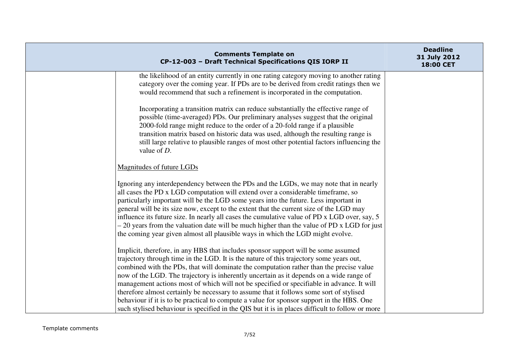| <b>Comments Template on</b><br>CP-12-003 - Draft Technical Specifications QIS IORP II                                                                                                                                                                                                                                                                                                                                                                                                                                                                                                                                                                                                                                                                       | <b>Deadline</b><br>31 July 2012<br>18:00 CET |
|-------------------------------------------------------------------------------------------------------------------------------------------------------------------------------------------------------------------------------------------------------------------------------------------------------------------------------------------------------------------------------------------------------------------------------------------------------------------------------------------------------------------------------------------------------------------------------------------------------------------------------------------------------------------------------------------------------------------------------------------------------------|----------------------------------------------|
| the likelihood of an entity currently in one rating category moving to another rating<br>category over the coming year. If PDs are to be derived from credit ratings then we<br>would recommend that such a refinement is incorporated in the computation.                                                                                                                                                                                                                                                                                                                                                                                                                                                                                                  |                                              |
| Incorporating a transition matrix can reduce substantially the effective range of<br>possible (time-averaged) PDs. Our preliminary analyses suggest that the original<br>2000-fold range might reduce to the order of a 20-fold range if a plausible<br>transition matrix based on historic data was used, although the resulting range is<br>still large relative to plausible ranges of most other potential factors influencing the<br>value of $D$ .                                                                                                                                                                                                                                                                                                    |                                              |
| Magnitudes of future LGDs                                                                                                                                                                                                                                                                                                                                                                                                                                                                                                                                                                                                                                                                                                                                   |                                              |
| Ignoring any interdependency between the PDs and the LGDs, we may note that in nearly<br>all cases the PD x LGD computation will extend over a considerable timeframe, so<br>particularly important will be the LGD some years into the future. Less important in<br>general will be its size now, except to the extent that the current size of the LGD may<br>influence its future size. In nearly all cases the cumulative value of PD x LGD over, say, 5<br>- 20 years from the valuation date will be much higher than the value of PD x LGD for just<br>the coming year given almost all plausible ways in which the LGD might evolve.                                                                                                                |                                              |
| Implicit, therefore, in any HBS that includes sponsor support will be some assumed<br>trajectory through time in the LGD. It is the nature of this trajectory some years out,<br>combined with the PDs, that will dominate the computation rather than the precise value<br>now of the LGD. The trajectory is inherently uncertain as it depends on a wide range of<br>management actions most of which will not be specified or specifiable in advance. It will<br>therefore almost certainly be necessary to assume that it follows some sort of stylised<br>behaviour if it is to be practical to compute a value for sponsor support in the HBS. One<br>such stylised behaviour is specified in the QIS but it is in places difficult to follow or more |                                              |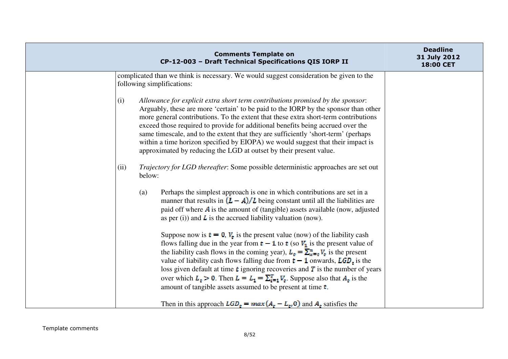|      | <b>Comments Template on</b><br>CP-12-003 - Draft Technical Specifications QIS IORP II                                                                                                                                                                                                                                                                                                                                                                                                                                                                                                                                 | <b>Deadline</b><br>31 July 2012<br><b>18:00 CET</b> |
|------|-----------------------------------------------------------------------------------------------------------------------------------------------------------------------------------------------------------------------------------------------------------------------------------------------------------------------------------------------------------------------------------------------------------------------------------------------------------------------------------------------------------------------------------------------------------------------------------------------------------------------|-----------------------------------------------------|
|      | complicated than we think is necessary. We would suggest consideration be given to the<br>following simplifications:                                                                                                                                                                                                                                                                                                                                                                                                                                                                                                  |                                                     |
| (i)  | Allowance for explicit extra short term contributions promised by the sponsor:<br>Arguably, these are more 'certain' to be paid to the IORP by the sponsor than other<br>more general contributions. To the extent that these extra short-term contributions<br>exceed those required to provide for additional benefits being accrued over the<br>same timescale, and to the extent that they are sufficiently 'short-term' (perhaps<br>within a time horizon specified by EIOPA) we would suggest that their impact is<br>approximated by reducing the LGD at outset by their present value.                        |                                                     |
| (ii) | Trajectory for LGD thereafter: Some possible deterministic approaches are set out<br>below:                                                                                                                                                                                                                                                                                                                                                                                                                                                                                                                           |                                                     |
|      | Perhaps the simplest approach is one in which contributions are set in a<br>(a)<br>manner that results in $(L - A)/L$ being constant until all the liabilities are<br>paid off where A is the amount of (tangible) assets available (now, adjusted<br>as per (i)) and $\bf{L}$ is the accrued liability valuation (now).                                                                                                                                                                                                                                                                                              |                                                     |
|      | Suppose now is $t = 0$ , $V_t$ is the present value (now) of the liability cash<br>flows falling due in the year from $t - 1$ to t (so $V_1$ is the present value of<br>the liability cash flows in the coming year), $L_z = \sum_{x=t}^{n} V_z$ is the present<br>value of liability cash flows falling due from $t - 1$ onwards, $LGDr$ is the<br>loss given default at time $\mathbf t$ ignoring recoveries and $\mathbf T$ is the number of years<br>over which $L_z > 0$ . Then $L = L_1 = \sum_{i=1}^{T} V_z$ . Suppose also that $A_z$ is the<br>amount of tangible assets assumed to be present at time $t$ . |                                                     |
|      | Then in this approach $LGD_{\epsilon} = max(A_{\epsilon} - L_{\epsilon}, 0)$ and $A_{\epsilon}$ satisfies the                                                                                                                                                                                                                                                                                                                                                                                                                                                                                                         |                                                     |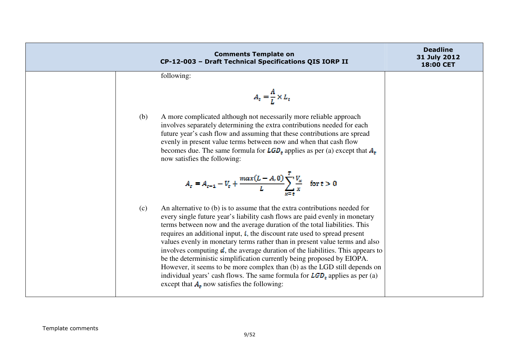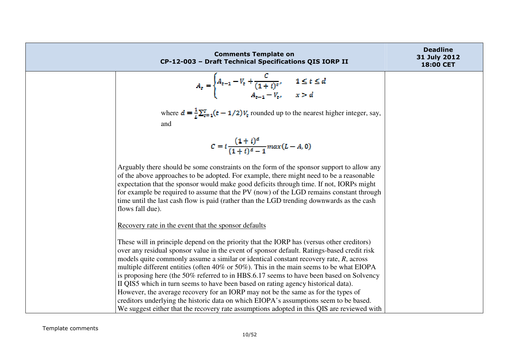| <b>Comments Template on</b><br>CP-12-003 - Draft Technical Specifications QIS IORP II                                                                                                                                                                                                                                                                                                                                                                                                       | <b>Deadline</b><br>31 July 2012<br>18:00 CET |
|---------------------------------------------------------------------------------------------------------------------------------------------------------------------------------------------------------------------------------------------------------------------------------------------------------------------------------------------------------------------------------------------------------------------------------------------------------------------------------------------|----------------------------------------------|
| $A_{\epsilon} = \begin{cases} A_{\epsilon-1} - V_{\epsilon} + \frac{C}{(1+t)^{\epsilon}}, & 1 \leq t \leq d \\ A_{t-1} - V_{\epsilon}, & x > d \end{cases}$                                                                                                                                                                                                                                                                                                                                 |                                              |
| where $d = \frac{1}{t} \sum_{\tau=1}^{T} (t - 1/2) V_{\tau}$ rounded up to the nearest higher integer, say,                                                                                                                                                                                                                                                                                                                                                                                 |                                              |
| and<br>$C = i \frac{(1+i)^d}{(1+i)^d - 1} max(L - A, 0)$                                                                                                                                                                                                                                                                                                                                                                                                                                    |                                              |
| Arguably there should be some constraints on the form of the sponsor support to allow any<br>of the above approaches to be adopted. For example, there might need to be a reasonable<br>expectation that the sponsor would make good deficits through time. If not, IORPs might<br>for example be required to assume that the PV (now) of the LGD remains constant through<br>time until the last cash flow is paid (rather than the LGD trending downwards as the cash<br>flows fall due). |                                              |
| Recovery rate in the event that the sponsor defaults                                                                                                                                                                                                                                                                                                                                                                                                                                        |                                              |
| These will in principle depend on the priority that the IORP has (versus other creditors)<br>over any residual sponsor value in the event of sponsor default. Ratings-based credit risk<br>models quite commonly assume a similar or identical constant recovery rate, $R$ , across<br>multiple different entities (often 40% or 50%). This in the main seems to be what EIOPA                                                                                                              |                                              |
| is proposing here (the 50% referred to in HBS.6.17 seems to have been based on Solvency<br>II QIS5 which in turn seems to have been based on rating agency historical data).<br>However, the average recovery for an IORP may not be the same as for the types of<br>creditors underlying the historic data on which EIOPA's assumptions seem to be based.<br>We suggest either that the recovery rate assumptions adopted in this QIS are reviewed with                                    |                                              |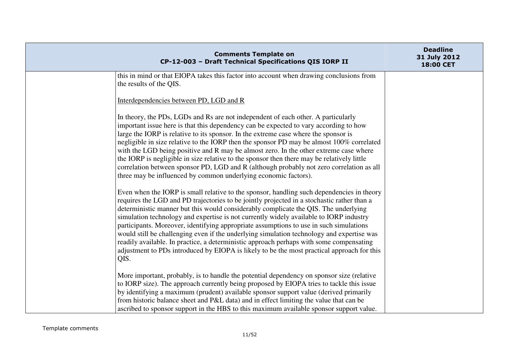| <b>Comments Template on</b><br>CP-12-003 - Draft Technical Specifications QIS IORP II                                                                                                                                                                                                                                                                                                                                                                                                                                                                                                                                                                                                                                                                            | <b>Deadline</b><br>31 July 2012<br>18:00 CET |
|------------------------------------------------------------------------------------------------------------------------------------------------------------------------------------------------------------------------------------------------------------------------------------------------------------------------------------------------------------------------------------------------------------------------------------------------------------------------------------------------------------------------------------------------------------------------------------------------------------------------------------------------------------------------------------------------------------------------------------------------------------------|----------------------------------------------|
| this in mind or that EIOPA takes this factor into account when drawing conclusions from<br>the results of the QIS.                                                                                                                                                                                                                                                                                                                                                                                                                                                                                                                                                                                                                                               |                                              |
| Interdependencies between PD, LGD and R                                                                                                                                                                                                                                                                                                                                                                                                                                                                                                                                                                                                                                                                                                                          |                                              |
| In theory, the PDs, LGDs and Rs are not independent of each other. A particularly<br>important issue here is that this dependency can be expected to vary according to how<br>large the IORP is relative to its sponsor. In the extreme case where the sponsor is<br>negligible in size relative to the IORP then the sponsor PD may be almost 100% correlated<br>with the LGD being positive and R may be almost zero. In the other extreme case where<br>the IORP is negligible in size relative to the sponsor then there may be relatively little<br>correlation between sponsor PD, LGD and R (although probably not zero correlation as all<br>three may be influenced by common underlying economic factors).                                             |                                              |
| Even when the IORP is small relative to the sponsor, handling such dependencies in theory<br>requires the LGD and PD trajectories to be jointly projected in a stochastic rather than a<br>deterministic manner but this would considerably complicate the QIS. The underlying<br>simulation technology and expertise is not currently widely available to IORP industry<br>participants. Moreover, identifying appropriate assumptions to use in such simulations<br>would still be challenging even if the underlying simulation technology and expertise was<br>readily available. In practice, a deterministic approach perhaps with some compensating<br>adjustment to PDs introduced by EIOPA is likely to be the most practical approach for this<br>QIS. |                                              |
| More important, probably, is to handle the potential dependency on sponsor size (relative<br>to IORP size). The approach currently being proposed by EIOPA tries to tackle this issue<br>by identifying a maximum (prudent) available sponsor support value (derived primarily<br>from historic balance sheet and P&L data) and in effect limiting the value that can be<br>ascribed to sponsor support in the HBS to this maximum available sponsor support value.                                                                                                                                                                                                                                                                                              |                                              |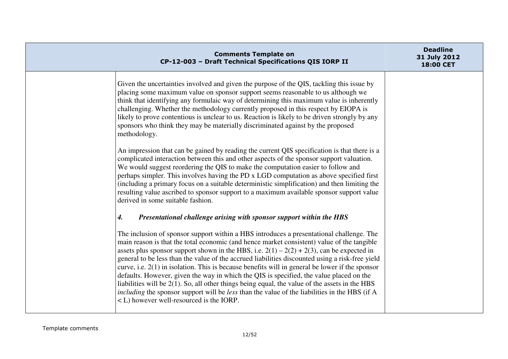| <b>Comments Template on</b><br>CP-12-003 - Draft Technical Specifications QIS IORP II                                                                                                                                                                                                                                                                                                                                                                                                                                                                                                                                                                                                                                                                                                                                                       | <b>Deadline</b><br>31 July 2012<br>18:00 CET |
|---------------------------------------------------------------------------------------------------------------------------------------------------------------------------------------------------------------------------------------------------------------------------------------------------------------------------------------------------------------------------------------------------------------------------------------------------------------------------------------------------------------------------------------------------------------------------------------------------------------------------------------------------------------------------------------------------------------------------------------------------------------------------------------------------------------------------------------------|----------------------------------------------|
| Given the uncertainties involved and given the purpose of the QIS, tackling this issue by<br>placing some maximum value on sponsor support seems reasonable to us although we<br>think that identifying any formulaic way of determining this maximum value is inherently<br>challenging. Whether the methodology currently proposed in this respect by EIOPA is<br>likely to prove contentious is unclear to us. Reaction is likely to be driven strongly by any<br>sponsors who think they may be materially discriminated against by the proposed<br>methodology.                                                                                                                                                                                                                                                                        |                                              |
| An impression that can be gained by reading the current QIS specification is that there is a<br>complicated interaction between this and other aspects of the sponsor support valuation.<br>We would suggest reordering the QIS to make the computation easier to follow and<br>perhaps simpler. This involves having the PD x LGD computation as above specified first<br>(including a primary focus on a suitable deterministic simplification) and then limiting the<br>resulting value ascribed to sponsor support to a maximum available sponsor support value<br>derived in some suitable fashion.                                                                                                                                                                                                                                    |                                              |
| Presentational challenge arising with sponsor support within the HBS<br>4.                                                                                                                                                                                                                                                                                                                                                                                                                                                                                                                                                                                                                                                                                                                                                                  |                                              |
| The inclusion of sponsor support within a HBS introduces a presentational challenge. The<br>main reason is that the total economic (and hence market consistent) value of the tangible<br>assets plus sponsor support shown in the HBS, i.e. $2(1) - 2(2) + 2(3)$ , can be expected in<br>general to be less than the value of the accrued liabilities discounted using a risk-free yield<br>curve, i.e. $2(1)$ in isolation. This is because benefits will in general be lower if the sponsor<br>defaults. However, given the way in which the QIS is specified, the value placed on the<br>liabilities will be $2(1)$ . So, all other things being equal, the value of the assets in the HBS<br>including the sponsor support will be less than the value of the liabilities in the HBS (if A<br>< L) however well-resourced is the IORP. |                                              |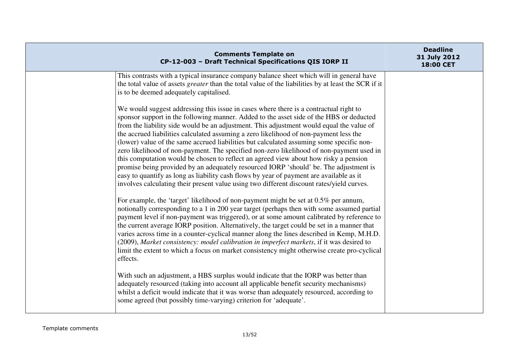|                                                                   | <b>Comments Template on</b><br>CP-12-003 - Draft Technical Specifications QIS IORP II                                                                                                                                                                                                                                                                                                                                                                                                                                                                                                                                                                                                                                                                                                                                                                                                                                                  | <b>Deadline</b><br>31 July 2012<br>18:00 CET |
|-------------------------------------------------------------------|----------------------------------------------------------------------------------------------------------------------------------------------------------------------------------------------------------------------------------------------------------------------------------------------------------------------------------------------------------------------------------------------------------------------------------------------------------------------------------------------------------------------------------------------------------------------------------------------------------------------------------------------------------------------------------------------------------------------------------------------------------------------------------------------------------------------------------------------------------------------------------------------------------------------------------------|----------------------------------------------|
| is to be deemed adequately capitalised.                           | This contrasts with a typical insurance company balance sheet which will in general have<br>the total value of assets <i>greater</i> than the total value of the liabilities by at least the SCR if it                                                                                                                                                                                                                                                                                                                                                                                                                                                                                                                                                                                                                                                                                                                                 |                                              |
|                                                                   | We would suggest addressing this issue in cases where there is a contractual right to<br>sponsor support in the following manner. Added to the asset side of the HBS or deducted<br>from the liability side would be an adjustment. This adjustment would equal the value of<br>the accrued liabilities calculated assuming a zero likelihood of non-payment less the<br>(lower) value of the same accrued liabilities but calculated assuming some specific non-<br>zero likelihood of non-payment. The specified non-zero likelihood of non-payment used in<br>this computation would be chosen to reflect an agreed view about how risky a pension<br>promise being provided by an adequately resourced IORP 'should' be. The adjustment is<br>easy to quantify as long as liability cash flows by year of payment are available as it<br>involves calculating their present value using two different discount rates/yield curves. |                                              |
| effects.                                                          | For example, the 'target' likelihood of non-payment might be set at 0.5% per annum,<br>notionally corresponding to a 1 in 200 year target (perhaps then with some assumed partial<br>payment level if non-payment was triggered), or at some amount calibrated by reference to<br>the current average IORP position. Alternatively, the target could be set in a manner that<br>varies across time in a counter-cyclical manner along the lines described in Kemp, M.H.D.<br>(2009), Market consistency: model calibration in imperfect markets, if it was desired to<br>limit the extent to which a focus on market consistency might otherwise create pro-cyclical                                                                                                                                                                                                                                                                   |                                              |
| some agreed (but possibly time-varying) criterion for 'adequate'. | With such an adjustment, a HBS surplus would indicate that the IORP was better than<br>adequately resourced (taking into account all applicable benefit security mechanisms)<br>whilst a deficit would indicate that it was worse than adequately resourced, according to                                                                                                                                                                                                                                                                                                                                                                                                                                                                                                                                                                                                                                                              |                                              |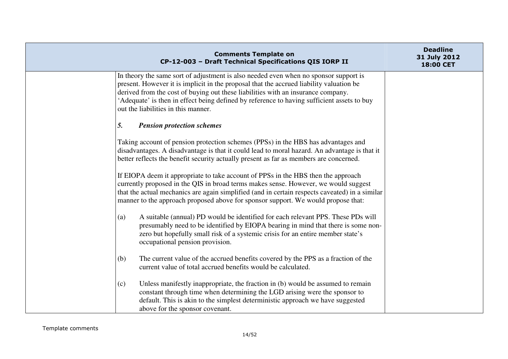| <b>Comments Template on</b><br>CP-12-003 - Draft Technical Specifications QIS IORP II                                                                                                                                                                                                                                                                                                                    | <b>Deadline</b><br>31 July 2012<br>18:00 CET |
|----------------------------------------------------------------------------------------------------------------------------------------------------------------------------------------------------------------------------------------------------------------------------------------------------------------------------------------------------------------------------------------------------------|----------------------------------------------|
| In theory the same sort of adjustment is also needed even when no sponsor support is<br>present. However it is implicit in the proposal that the accrued liability valuation be<br>derived from the cost of buying out these liabilities with an insurance company.<br>'Adequate' is then in effect being defined by reference to having sufficient assets to buy<br>out the liabilities in this manner. |                                              |
| 5.<br><b>Pension protection schemes</b>                                                                                                                                                                                                                                                                                                                                                                  |                                              |
| Taking account of pension protection schemes (PPSs) in the HBS has advantages and<br>disadvantages. A disadvantage is that it could lead to moral hazard. An advantage is that it<br>better reflects the benefit security actually present as far as members are concerned.                                                                                                                              |                                              |
| If EIOPA deem it appropriate to take account of PPSs in the HBS then the approach<br>currently proposed in the QIS in broad terms makes sense. However, we would suggest<br>that the actual mechanics are again simplified (and in certain respects caveated) in a similar<br>manner to the approach proposed above for sponsor support. We would propose that:                                          |                                              |
| A suitable (annual) PD would be identified for each relevant PPS. These PDs will<br>(a)<br>presumably need to be identified by EIOPA bearing in mind that there is some non-<br>zero but hopefully small risk of a systemic crisis for an entire member state's<br>occupational pension provision.                                                                                                       |                                              |
| The current value of the accrued benefits covered by the PPS as a fraction of the<br>(b)<br>current value of total accrued benefits would be calculated.                                                                                                                                                                                                                                                 |                                              |
| Unless manifestly inappropriate, the fraction in (b) would be assumed to remain<br>(c)<br>constant through time when determining the LGD arising were the sponsor to<br>default. This is akin to the simplest deterministic approach we have suggested<br>above for the sponsor covenant.                                                                                                                |                                              |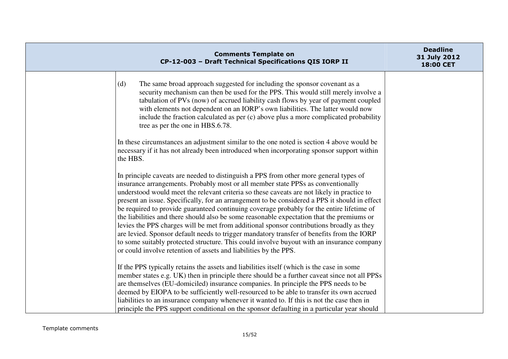|          | <b>Comments Template on</b><br>CP-12-003 - Draft Technical Specifications QIS IORP II                                                                                                                                                                                                                                                                                                                                                                                                                                                                                                                                                                                                                                                                                                                                                                                                                                        | <b>Deadline</b><br>31 July 2012<br>18:00 CET |
|----------|------------------------------------------------------------------------------------------------------------------------------------------------------------------------------------------------------------------------------------------------------------------------------------------------------------------------------------------------------------------------------------------------------------------------------------------------------------------------------------------------------------------------------------------------------------------------------------------------------------------------------------------------------------------------------------------------------------------------------------------------------------------------------------------------------------------------------------------------------------------------------------------------------------------------------|----------------------------------------------|
| (d)      | The same broad approach suggested for including the sponsor covenant as a<br>security mechanism can then be used for the PPS. This would still merely involve a<br>tabulation of PVs (now) of accrued liability cash flows by year of payment coupled<br>with elements not dependent on an IORP's own liabilities. The latter would now<br>include the fraction calculated as per (c) above plus a more complicated probability<br>tree as per the one in HBS.6.78.                                                                                                                                                                                                                                                                                                                                                                                                                                                          |                                              |
| the HBS. | In these circumstances an adjustment similar to the one noted is section 4 above would be<br>necessary if it has not already been introduced when incorporating sponsor support within                                                                                                                                                                                                                                                                                                                                                                                                                                                                                                                                                                                                                                                                                                                                       |                                              |
|          | In principle caveats are needed to distinguish a PPS from other more general types of<br>insurance arrangements. Probably most or all member state PPSs as conventionally<br>understood would meet the relevant criteria so these caveats are not likely in practice to<br>present an issue. Specifically, for an arrangement to be considered a PPS it should in effect<br>be required to provide guaranteed continuing coverage probably for the entire lifetime of<br>the liabilities and there should also be some reasonable expectation that the premiums or<br>levies the PPS charges will be met from additional sponsor contributions broadly as they<br>are levied. Sponsor default needs to trigger mandatory transfer of benefits from the IORP<br>to some suitably protected structure. This could involve buyout with an insurance company<br>or could involve retention of assets and liabilities by the PPS. |                                              |
|          | If the PPS typically retains the assets and liabilities itself (which is the case in some<br>member states e.g. UK) then in principle there should be a further caveat since not all PPSs<br>are themselves (EU-domiciled) insurance companies. In principle the PPS needs to be<br>deemed by EIOPA to be sufficiently well-resourced to be able to transfer its own accrued<br>liabilities to an insurance company whenever it wanted to. If this is not the case then in<br>principle the PPS support conditional on the sponsor defaulting in a particular year should                                                                                                                                                                                                                                                                                                                                                    |                                              |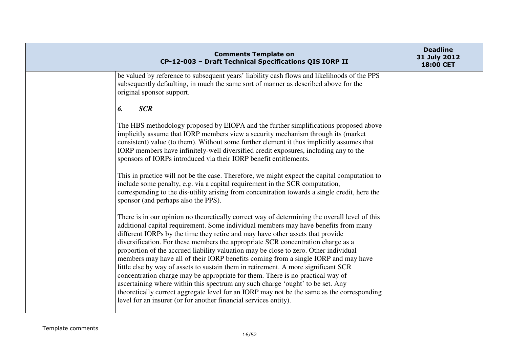| <b>Comments Template on</b><br>CP-12-003 - Draft Technical Specifications QIS IORP II                                                                                                                                                                                                                                                                                                                                                                                                                                                                                                                                                                                                                                                                                                                                                                                                                                                                                | <b>Deadline</b><br>31 July 2012<br>18:00 CET |
|----------------------------------------------------------------------------------------------------------------------------------------------------------------------------------------------------------------------------------------------------------------------------------------------------------------------------------------------------------------------------------------------------------------------------------------------------------------------------------------------------------------------------------------------------------------------------------------------------------------------------------------------------------------------------------------------------------------------------------------------------------------------------------------------------------------------------------------------------------------------------------------------------------------------------------------------------------------------|----------------------------------------------|
| be valued by reference to subsequent years' liability cash flows and likelihoods of the PPS<br>subsequently defaulting, in much the same sort of manner as described above for the<br>original sponsor support.                                                                                                                                                                                                                                                                                                                                                                                                                                                                                                                                                                                                                                                                                                                                                      |                                              |
| <b>SCR</b><br>6.                                                                                                                                                                                                                                                                                                                                                                                                                                                                                                                                                                                                                                                                                                                                                                                                                                                                                                                                                     |                                              |
| The HBS methodology proposed by EIOPA and the further simplifications proposed above<br>implicitly assume that IORP members view a security mechanism through its (market<br>consistent) value (to them). Without some further element it thus implicitly assumes that<br>IORP members have infinitely-well diversified credit exposures, including any to the<br>sponsors of IORPs introduced via their IORP benefit entitlements.                                                                                                                                                                                                                                                                                                                                                                                                                                                                                                                                  |                                              |
| This in practice will not be the case. Therefore, we might expect the capital computation to<br>include some penalty, e.g. via a capital requirement in the SCR computation,<br>corresponding to the dis-utility arising from concentration towards a single credit, here the<br>sponsor (and perhaps also the PPS).                                                                                                                                                                                                                                                                                                                                                                                                                                                                                                                                                                                                                                                 |                                              |
| There is in our opinion no theoretically correct way of determining the overall level of this<br>additional capital requirement. Some individual members may have benefits from many<br>different IORPs by the time they retire and may have other assets that provide<br>diversification. For these members the appropriate SCR concentration charge as a<br>proportion of the accrued liability valuation may be close to zero. Other individual<br>members may have all of their IORP benefits coming from a single IORP and may have<br>little else by way of assets to sustain them in retirement. A more significant SCR<br>concentration charge may be appropriate for them. There is no practical way of<br>ascertaining where within this spectrum any such charge 'ought' to be set. Any<br>theoretically correct aggregate level for an IORP may not be the same as the corresponding<br>level for an insurer (or for another financial services entity). |                                              |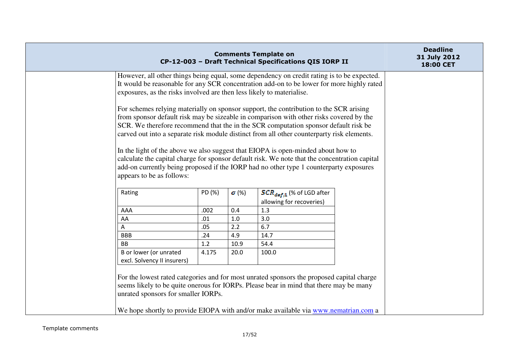|                                                                                                                                                                                                                                                                  |        |                           | <b>Comments Template on</b><br>CP-12-003 - Draft Technical Specifications QIS IORP II                                                                                                                                                                                                                                                                                                                                                                                                                                                                                                                                                                 |  | <b>Deadline</b><br>31 July 2012<br>18:00 CET |
|------------------------------------------------------------------------------------------------------------------------------------------------------------------------------------------------------------------------------------------------------------------|--------|---------------------------|-------------------------------------------------------------------------------------------------------------------------------------------------------------------------------------------------------------------------------------------------------------------------------------------------------------------------------------------------------------------------------------------------------------------------------------------------------------------------------------------------------------------------------------------------------------------------------------------------------------------------------------------------------|--|----------------------------------------------|
| However, all other things being equal, some dependency on credit rating is to be expected.<br>It would be reasonable for any SCR concentration add-on to be lower for more highly rated<br>exposures, as the risks involved are then less likely to materialise. |        |                           |                                                                                                                                                                                                                                                                                                                                                                                                                                                                                                                                                                                                                                                       |  |                                              |
| appears to be as follows:                                                                                                                                                                                                                                        |        |                           | For schemes relying materially on sponsor support, the contribution to the SCR arising<br>from sponsor default risk may be sizeable in comparison with other risks covered by the<br>SCR. We therefore recommend that the in the SCR computation sponsor default risk be<br>carved out into a separate risk module distinct from all other counterparty risk elements.<br>In the light of the above we also suggest that EIOPA is open-minded about how to<br>calculate the capital charge for sponsor default risk. We note that the concentration capital<br>add-on currently being proposed if the IORP had no other type 1 counterparty exposures |  |                                              |
| Rating                                                                                                                                                                                                                                                           | PD (%) | $\boldsymbol{\sigma}$ (%) | $SCR_{def,1}$ (% of LGD after<br>allowing for recoveries)                                                                                                                                                                                                                                                                                                                                                                                                                                                                                                                                                                                             |  |                                              |
| AAA                                                                                                                                                                                                                                                              | .002   | 0.4                       | 1.3                                                                                                                                                                                                                                                                                                                                                                                                                                                                                                                                                                                                                                                   |  |                                              |
| AA                                                                                                                                                                                                                                                               | .01    | 1.0                       | 3.0                                                                                                                                                                                                                                                                                                                                                                                                                                                                                                                                                                                                                                                   |  |                                              |
| A                                                                                                                                                                                                                                                                | .05    | 2.2                       | 6.7                                                                                                                                                                                                                                                                                                                                                                                                                                                                                                                                                                                                                                                   |  |                                              |
| <b>BBB</b>                                                                                                                                                                                                                                                       | .24    | 4.9                       | 14.7                                                                                                                                                                                                                                                                                                                                                                                                                                                                                                                                                                                                                                                  |  |                                              |
| <b>BB</b>                                                                                                                                                                                                                                                        | 1.2    | 10.9                      | 54.4                                                                                                                                                                                                                                                                                                                                                                                                                                                                                                                                                                                                                                                  |  |                                              |
| B or lower (or unrated<br>excl. Solvency II insurers)                                                                                                                                                                                                            | 4.175  | 20.0                      | 100.0                                                                                                                                                                                                                                                                                                                                                                                                                                                                                                                                                                                                                                                 |  |                                              |
| unrated sponsors for smaller IORPs.                                                                                                                                                                                                                              |        |                           | For the lowest rated categories and for most unrated sponsors the proposed capital charge<br>seems likely to be quite onerous for IORPs. Please bear in mind that there may be many<br>We hope shortly to provide EIOPA with and/or make available via www.nematrian.com a                                                                                                                                                                                                                                                                                                                                                                            |  |                                              |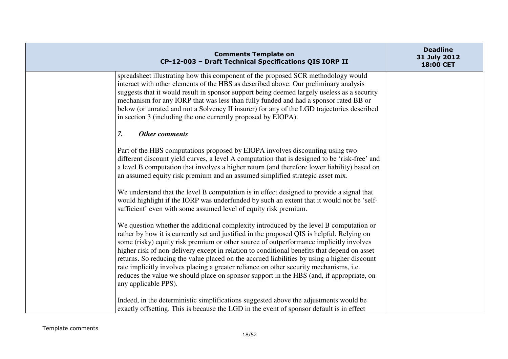| <b>Comments Template on</b><br>CP-12-003 - Draft Technical Specifications QIS IORP II                                                                                                                                                                                                                                                                                                                                                                                                                                                                                                                                                                                                      | <b>Deadline</b><br>31 July 2012<br>18:00 CET |
|--------------------------------------------------------------------------------------------------------------------------------------------------------------------------------------------------------------------------------------------------------------------------------------------------------------------------------------------------------------------------------------------------------------------------------------------------------------------------------------------------------------------------------------------------------------------------------------------------------------------------------------------------------------------------------------------|----------------------------------------------|
| spreadsheet illustrating how this component of the proposed SCR methodology would<br>interact with other elements of the HBS as described above. Our preliminary analysis<br>suggests that it would result in sponsor support being deemed largely useless as a security<br>mechanism for any IORP that was less than fully funded and had a sponsor rated BB or<br>below (or unrated and not a Solvency II insurer) for any of the LGD trajectories described<br>in section 3 (including the one currently proposed by EIOPA).                                                                                                                                                            |                                              |
| 7.<br><b>Other comments</b>                                                                                                                                                                                                                                                                                                                                                                                                                                                                                                                                                                                                                                                                |                                              |
| Part of the HBS computations proposed by EIOPA involves discounting using two<br>different discount yield curves, a level A computation that is designed to be 'risk-free' and<br>a level B computation that involves a higher return (and therefore lower liability) based on<br>an assumed equity risk premium and an assumed simplified strategic asset mix.                                                                                                                                                                                                                                                                                                                            |                                              |
| We understand that the level B computation is in effect designed to provide a signal that<br>would highlight if the IORP was underfunded by such an extent that it would not be 'self-<br>sufficient' even with some assumed level of equity risk premium.                                                                                                                                                                                                                                                                                                                                                                                                                                 |                                              |
| We question whether the additional complexity introduced by the level B computation or<br>rather by how it is currently set and justified in the proposed QIS is helpful. Relying on<br>some (risky) equity risk premium or other source of outperformance implicitly involves<br>higher risk of non-delivery except in relation to conditional benefits that depend on asset<br>returns. So reducing the value placed on the accrued liabilities by using a higher discount<br>rate implicitly involves placing a greater reliance on other security mechanisms, i.e.<br>reduces the value we should place on sponsor support in the HBS (and, if appropriate, on<br>any applicable PPS). |                                              |
| Indeed, in the deterministic simplifications suggested above the adjustments would be<br>exactly offsetting. This is because the LGD in the event of sponsor default is in effect                                                                                                                                                                                                                                                                                                                                                                                                                                                                                                          |                                              |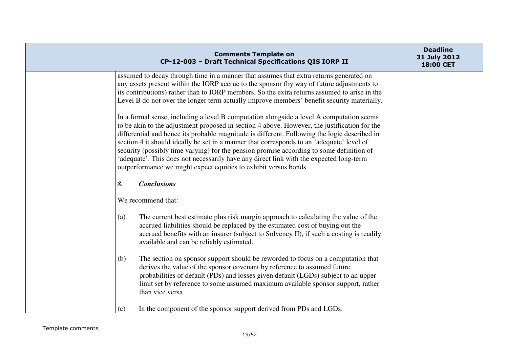| <b>Comments Template on</b><br>CP-12-003 - Draft Technical Specifications QIS IORP II                                                                                                                                                                                                                                                                                                                                                                                                                                                                                                                                                           | <b>Deadline</b><br>31 July 2012<br>18:00 CET |
|-------------------------------------------------------------------------------------------------------------------------------------------------------------------------------------------------------------------------------------------------------------------------------------------------------------------------------------------------------------------------------------------------------------------------------------------------------------------------------------------------------------------------------------------------------------------------------------------------------------------------------------------------|----------------------------------------------|
| assumed to decay through time in a manner that assumes that extra returns generated on<br>any assets present within the IORP accrue to the sponsor (by way of future adjustments to<br>its contributions) rather than to IORP members. So the extra returns assumed to arise in the<br>Level B do not over the longer term actually improve members' benefit security materially.                                                                                                                                                                                                                                                               |                                              |
| In a formal sense, including a level B computation alongside a level A computation seems<br>to be akin to the adjustment proposed in section 4 above. However, the justification for the<br>differential and hence its probable magnitude is different. Following the logic described in<br>section 4 it should ideally be set in a manner that corresponds to an 'adequate' level of<br>security (possibly time varying) for the pension promise according to some definition of<br>'adequate'. This does not necessarily have any direct link with the expected long-term<br>outperformance we might expect equities to exhibit versus bonds. |                                              |
| <b>Conclusions</b><br>8.                                                                                                                                                                                                                                                                                                                                                                                                                                                                                                                                                                                                                        |                                              |
| We recommend that:                                                                                                                                                                                                                                                                                                                                                                                                                                                                                                                                                                                                                              |                                              |
| The current best estimate plus risk margin approach to calculating the value of the<br>(a)<br>accrued liabilities should be replaced by the estimated cost of buying out the<br>accrued benefits with an insurer (subject to Solvency II), if such a costing is readily<br>available and can be reliably estimated.                                                                                                                                                                                                                                                                                                                             |                                              |
| The section on sponsor support should be reworded to focus on a computation that<br>(b)<br>derives the value of the sponsor covenant by reference to assumed future<br>probabilities of default (PDs) and losses given default (LGDs) subject to an upper<br>limit set by reference to some assumed maximum available sponsor support, rather<br>than vice versa.                                                                                                                                                                                                                                                                               |                                              |
| In the component of the sponsor support derived from PDs and LGDs:<br>(c)                                                                                                                                                                                                                                                                                                                                                                                                                                                                                                                                                                       |                                              |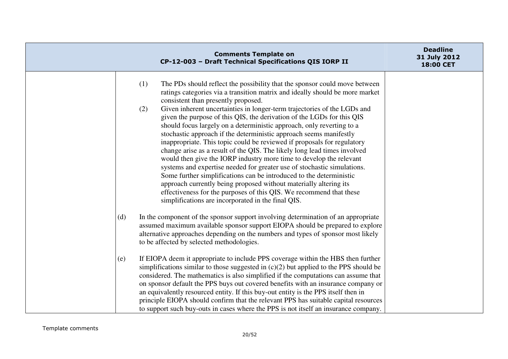| <b>Comments Template on</b><br>CP-12-003 - Draft Technical Specifications QIS IORP II                                                                                                                                                                                                                                                                                                                                                                                                                                                                                                                                                                                                                                                                                                                                                                                                                                                                                                                                                                                                                  | <b>Deadline</b><br>31 July 2012<br>18:00 CET |
|--------------------------------------------------------------------------------------------------------------------------------------------------------------------------------------------------------------------------------------------------------------------------------------------------------------------------------------------------------------------------------------------------------------------------------------------------------------------------------------------------------------------------------------------------------------------------------------------------------------------------------------------------------------------------------------------------------------------------------------------------------------------------------------------------------------------------------------------------------------------------------------------------------------------------------------------------------------------------------------------------------------------------------------------------------------------------------------------------------|----------------------------------------------|
| (1)<br>The PDs should reflect the possibility that the sponsor could move between<br>ratings categories via a transition matrix and ideally should be more market<br>consistent than presently proposed.<br>Given inherent uncertainties in longer-term trajectories of the LGDs and<br>(2)<br>given the purpose of this QIS, the derivation of the LGDs for this QIS<br>should focus largely on a deterministic approach, only reverting to a<br>stochastic approach if the deterministic approach seems manifestly<br>inappropriate. This topic could be reviewed if proposals for regulatory<br>change arise as a result of the QIS. The likely long lead times involved<br>would then give the IORP industry more time to develop the relevant<br>systems and expertise needed for greater use of stochastic simulations.<br>Some further simplifications can be introduced to the deterministic<br>approach currently being proposed without materially altering its<br>effectiveness for the purposes of this QIS. We recommend that these<br>simplifications are incorporated in the final QIS. |                                              |
| In the component of the sponsor support involving determination of an appropriate<br>(d)<br>assumed maximum available sponsor support EIOPA should be prepared to explore<br>alternative approaches depending on the numbers and types of sponsor most likely<br>to be affected by selected methodologies.                                                                                                                                                                                                                                                                                                                                                                                                                                                                                                                                                                                                                                                                                                                                                                                             |                                              |
| If EIOPA deem it appropriate to include PPS coverage within the HBS then further<br>(e)<br>simplifications similar to those suggested in $(c)(2)$ but applied to the PPS should be<br>considered. The mathematics is also simplified if the computations can assume that<br>on sponsor default the PPS buys out covered benefits with an insurance company or<br>an equivalently resourced entity. If this buy-out entity is the PPS itself then in<br>principle EIOPA should confirm that the relevant PPS has suitable capital resources<br>to support such buy-outs in cases where the PPS is not itself an insurance company.                                                                                                                                                                                                                                                                                                                                                                                                                                                                      |                                              |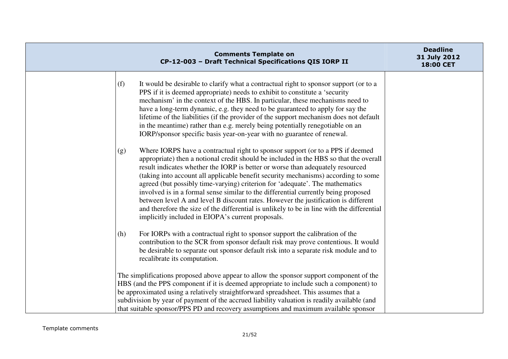| <b>Comments Template on</b><br>CP-12-003 - Draft Technical Specifications QIS IORP II                                                                                                                                                                                                                                                                                                                                                                                                                                                                                                                                                                                                                                                                                 | <b>Deadline</b><br>31 July 2012<br>18:00 CET |
|-----------------------------------------------------------------------------------------------------------------------------------------------------------------------------------------------------------------------------------------------------------------------------------------------------------------------------------------------------------------------------------------------------------------------------------------------------------------------------------------------------------------------------------------------------------------------------------------------------------------------------------------------------------------------------------------------------------------------------------------------------------------------|----------------------------------------------|
| (f)<br>It would be desirable to clarify what a contractual right to sponsor support (or to a<br>PPS if it is deemed appropriate) needs to exhibit to constitute a 'security<br>mechanism' in the context of the HBS. In particular, these mechanisms need to<br>have a long-term dynamic, e.g. they need to be guaranteed to apply for say the<br>lifetime of the liabilities (if the provider of the support mechanism does not default<br>in the meantime) rather than e.g. merely being potentially renegotiable on an<br>IORP/sponsor specific basis year-on-year with no guarantee of renewal.                                                                                                                                                                   |                                              |
| Where IORPS have a contractual right to sponsor support (or to a PPS if deemed<br>(g)<br>appropriate) then a notional credit should be included in the HBS so that the overall<br>result indicates whether the IORP is better or worse than adequately resourced<br>(taking into account all applicable benefit security mechanisms) according to some<br>agreed (but possibly time-varying) criterion for 'adequate'. The mathematics<br>involved is in a formal sense similar to the differential currently being proposed<br>between level A and level B discount rates. However the justification is different<br>and therefore the size of the differential is unlikely to be in line with the differential<br>implicitly included in EIOPA's current proposals. |                                              |
| For IORPs with a contractual right to sponsor support the calibration of the<br>(h)<br>contribution to the SCR from sponsor default risk may prove contentious. It would<br>be desirable to separate out sponsor default risk into a separate risk module and to<br>recalibrate its computation.                                                                                                                                                                                                                                                                                                                                                                                                                                                                      |                                              |
| The simplifications proposed above appear to allow the sponsor support component of the<br>HBS (and the PPS component if it is deemed appropriate to include such a component) to<br>be approximated using a relatively straightforward spreadsheet. This assumes that a<br>subdivision by year of payment of the accrued liability valuation is readily available (and<br>that suitable sponsor/PPS PD and recovery assumptions and maximum available sponsor                                                                                                                                                                                                                                                                                                        |                                              |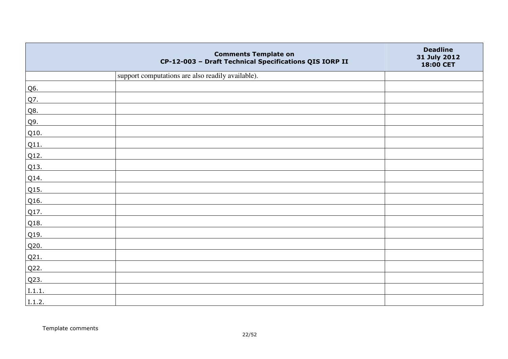|        | <b>Comments Template on</b><br>CP-12-003 - Draft Technical Specifications QIS IORP II | <b>Deadline</b><br>31 July 2012<br>18:00 CET |
|--------|---------------------------------------------------------------------------------------|----------------------------------------------|
|        | support computations are also readily available).                                     |                                              |
| Q6.    |                                                                                       |                                              |
| Q7.    |                                                                                       |                                              |
| Q8.    |                                                                                       |                                              |
| Q9.    |                                                                                       |                                              |
| Q10.   |                                                                                       |                                              |
| Q11.   |                                                                                       |                                              |
| Q12.   |                                                                                       |                                              |
| Q13.   |                                                                                       |                                              |
| Q14.   |                                                                                       |                                              |
| Q15.   |                                                                                       |                                              |
| Q16.   |                                                                                       |                                              |
| Q17.   |                                                                                       |                                              |
| Q18.   |                                                                                       |                                              |
| Q19.   |                                                                                       |                                              |
| Q20.   |                                                                                       |                                              |
| Q21.   |                                                                                       |                                              |
| Q22.   |                                                                                       |                                              |
| Q23.   |                                                                                       |                                              |
| I.1.1. |                                                                                       |                                              |
| I.1.2. |                                                                                       |                                              |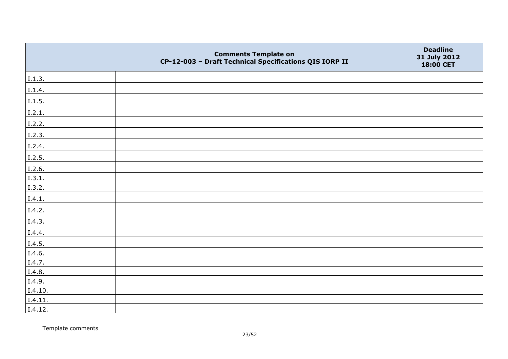|         | <b>Comments Template on</b><br>CP-12-003 - Draft Technical Specifications QIS IORP II | <b>Deadline</b><br>31 July 2012<br>18:00 CET |
|---------|---------------------------------------------------------------------------------------|----------------------------------------------|
| I.1.3.  |                                                                                       |                                              |
| I.1.4.  |                                                                                       |                                              |
| 1.1.5.  |                                                                                       |                                              |
| 1.2.1.  |                                                                                       |                                              |
| I.2.2.  |                                                                                       |                                              |
| I.2.3.  |                                                                                       |                                              |
| I.2.4.  |                                                                                       |                                              |
| I.2.5.  |                                                                                       |                                              |
| I.2.6.  |                                                                                       |                                              |
| 1.3.1.  |                                                                                       |                                              |
| I.3.2.  |                                                                                       |                                              |
| I.4.1.  |                                                                                       |                                              |
| I.4.2.  |                                                                                       |                                              |
| I.4.3.  |                                                                                       |                                              |
| I.4.4.  |                                                                                       |                                              |
| I.4.5.  |                                                                                       |                                              |
| I.4.6.  |                                                                                       |                                              |
| I.4.7.  |                                                                                       |                                              |
| I.4.8.  |                                                                                       |                                              |
| I.4.9.  |                                                                                       |                                              |
| I.4.10. |                                                                                       |                                              |
| I.4.11. |                                                                                       |                                              |
| I.4.12. |                                                                                       |                                              |

Template comments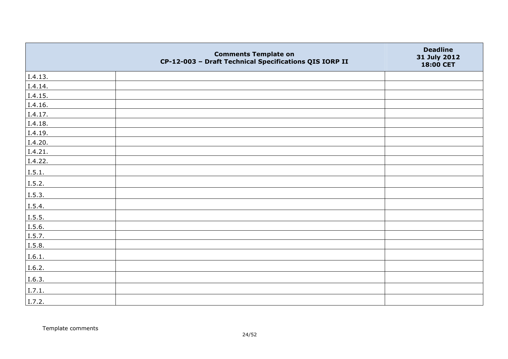|         | <b>Comments Template on</b><br>CP-12-003 - Draft Technical Specifications QIS IORP II | <b>Deadline</b><br>31 July 2012<br>18:00 CET |
|---------|---------------------------------------------------------------------------------------|----------------------------------------------|
| I.4.13. |                                                                                       |                                              |
| I.4.14. |                                                                                       |                                              |
| I.4.15. |                                                                                       |                                              |
| I.4.16. |                                                                                       |                                              |
| I.4.17. |                                                                                       |                                              |
| I.4.18. |                                                                                       |                                              |
| I.4.19. |                                                                                       |                                              |
| I.4.20. |                                                                                       |                                              |
| I.4.21. |                                                                                       |                                              |
| I.4.22. |                                                                                       |                                              |
| I.5.1.  |                                                                                       |                                              |
| I.5.2.  |                                                                                       |                                              |
| I.5.3.  |                                                                                       |                                              |
| I.5.4.  |                                                                                       |                                              |
| 1.5.5.  |                                                                                       |                                              |
| I.5.6.  |                                                                                       |                                              |
| I.5.7.  |                                                                                       |                                              |
| I.5.8.  |                                                                                       |                                              |
| I.6.1.  |                                                                                       |                                              |
| I.6.2.  |                                                                                       |                                              |
| I.6.3.  |                                                                                       |                                              |
| I.7.1.  |                                                                                       |                                              |
| I.7.2.  |                                                                                       |                                              |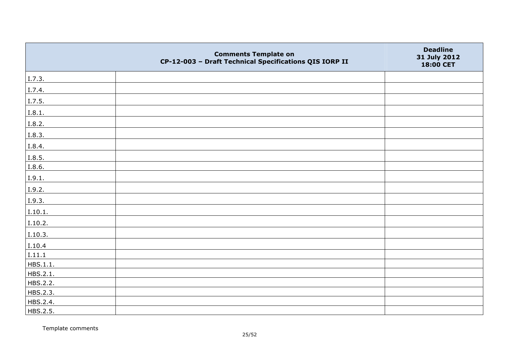|          | <b>Comments Template on</b><br>CP-12-003 - Draft Technical Specifications QIS IORP II | <b>Deadline</b><br>31 July 2012<br>18:00 CET |
|----------|---------------------------------------------------------------------------------------|----------------------------------------------|
| I.7.3.   |                                                                                       |                                              |
| I.7.4.   |                                                                                       |                                              |
| I.7.5.   |                                                                                       |                                              |
| I.8.1.   |                                                                                       |                                              |
| I.8.2.   |                                                                                       |                                              |
| I.8.3.   |                                                                                       |                                              |
| I.8.4.   |                                                                                       |                                              |
| I.8.5.   |                                                                                       |                                              |
| I.8.6.   |                                                                                       |                                              |
| I.9.1.   |                                                                                       |                                              |
| I.9.2.   |                                                                                       |                                              |
| I.9.3.   |                                                                                       |                                              |
| I.10.1.  |                                                                                       |                                              |
| I.10.2.  |                                                                                       |                                              |
| I.10.3.  |                                                                                       |                                              |
| I.10.4   |                                                                                       |                                              |
| I.11.1   |                                                                                       |                                              |
| HBS.1.1. |                                                                                       |                                              |
| HBS.2.1. |                                                                                       |                                              |
| HBS.2.2. |                                                                                       |                                              |
| HBS.2.3. |                                                                                       |                                              |
| HBS.2.4. |                                                                                       |                                              |
| HBS.2.5. |                                                                                       |                                              |

Template comments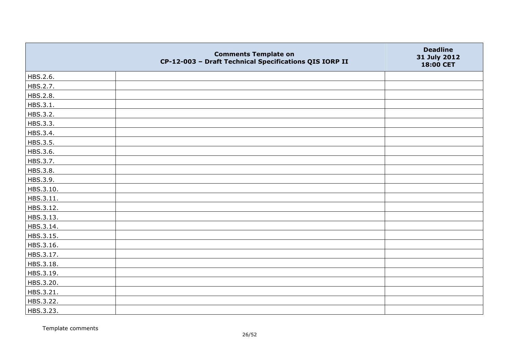|           | <b>Comments Template on</b><br>CP-12-003 - Draft Technical Specifications QIS IORP II | <b>Deadline</b><br>31 July 2012<br>18:00 CET |
|-----------|---------------------------------------------------------------------------------------|----------------------------------------------|
| HBS.2.6.  |                                                                                       |                                              |
| HBS.2.7.  |                                                                                       |                                              |
| HBS.2.8.  |                                                                                       |                                              |
| HBS.3.1.  |                                                                                       |                                              |
| HBS.3.2.  |                                                                                       |                                              |
| HBS.3.3.  |                                                                                       |                                              |
| HBS.3.4.  |                                                                                       |                                              |
| HBS.3.5.  |                                                                                       |                                              |
| HBS.3.6.  |                                                                                       |                                              |
| HBS.3.7.  |                                                                                       |                                              |
| HBS.3.8.  |                                                                                       |                                              |
| HBS.3.9.  |                                                                                       |                                              |
| HBS.3.10. |                                                                                       |                                              |
| HBS.3.11. |                                                                                       |                                              |
| HBS.3.12. |                                                                                       |                                              |
| HBS.3.13. |                                                                                       |                                              |
| HBS.3.14. |                                                                                       |                                              |
| HBS.3.15. |                                                                                       |                                              |
| HBS.3.16. |                                                                                       |                                              |
| HBS.3.17. |                                                                                       |                                              |
| HBS.3.18. |                                                                                       |                                              |
| HBS.3.19. |                                                                                       |                                              |
| HBS.3.20. |                                                                                       |                                              |
| HBS.3.21. |                                                                                       |                                              |
| HBS.3.22. |                                                                                       |                                              |
| HBS.3.23. |                                                                                       |                                              |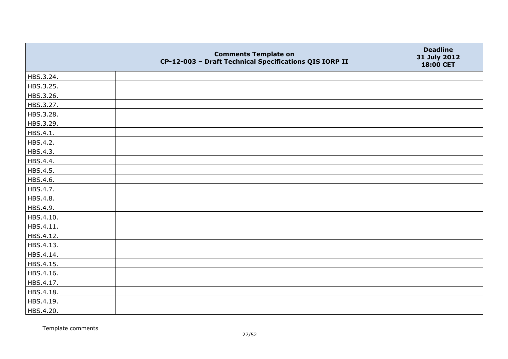|           | <b>Comments Template on</b><br>CP-12-003 - Draft Technical Specifications QIS IORP II | <b>Deadline</b><br>31 July 2012<br>18:00 CET |
|-----------|---------------------------------------------------------------------------------------|----------------------------------------------|
| HBS.3.24. |                                                                                       |                                              |
| HBS.3.25. |                                                                                       |                                              |
| HBS.3.26. |                                                                                       |                                              |
| HBS.3.27. |                                                                                       |                                              |
| HBS.3.28. |                                                                                       |                                              |
| HBS.3.29. |                                                                                       |                                              |
| HBS.4.1.  |                                                                                       |                                              |
| HBS.4.2.  |                                                                                       |                                              |
| HBS.4.3.  |                                                                                       |                                              |
| HBS.4.4.  |                                                                                       |                                              |
| HBS.4.5.  |                                                                                       |                                              |
| HBS.4.6.  |                                                                                       |                                              |
| HBS.4.7.  |                                                                                       |                                              |
| HBS.4.8.  |                                                                                       |                                              |
| HBS.4.9.  |                                                                                       |                                              |
| HBS.4.10. |                                                                                       |                                              |
| HBS.4.11. |                                                                                       |                                              |
| HBS.4.12. |                                                                                       |                                              |
| HBS.4.13. |                                                                                       |                                              |
| HBS.4.14. |                                                                                       |                                              |
| HBS.4.15. |                                                                                       |                                              |
| HBS.4.16. |                                                                                       |                                              |
| HBS.4.17. |                                                                                       |                                              |
| HBS.4.18. |                                                                                       |                                              |
| HBS.4.19. |                                                                                       |                                              |
| HBS.4.20. |                                                                                       |                                              |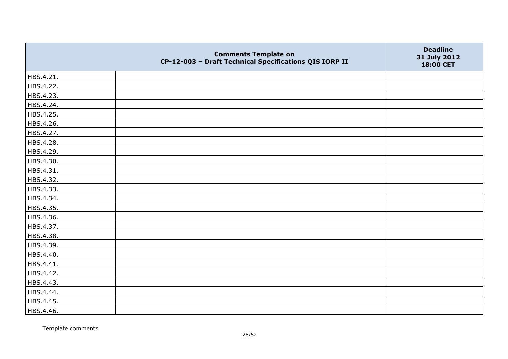|           | <b>Comments Template on</b><br>CP-12-003 - Draft Technical Specifications QIS IORP II | <b>Deadline</b><br>31 July 2012<br>18:00 CET |
|-----------|---------------------------------------------------------------------------------------|----------------------------------------------|
| HBS.4.21. |                                                                                       |                                              |
| HBS.4.22. |                                                                                       |                                              |
| HBS.4.23. |                                                                                       |                                              |
| HBS.4.24. |                                                                                       |                                              |
| HBS.4.25. |                                                                                       |                                              |
| HBS.4.26. |                                                                                       |                                              |
| HBS.4.27. |                                                                                       |                                              |
| HBS.4.28. |                                                                                       |                                              |
| HBS.4.29. |                                                                                       |                                              |
| HBS.4.30. |                                                                                       |                                              |
| HBS.4.31. |                                                                                       |                                              |
| HBS.4.32. |                                                                                       |                                              |
| HBS.4.33. |                                                                                       |                                              |
| HBS.4.34. |                                                                                       |                                              |
| HBS.4.35. |                                                                                       |                                              |
| HBS.4.36. |                                                                                       |                                              |
| HBS.4.37. |                                                                                       |                                              |
| HBS.4.38. |                                                                                       |                                              |
| HBS.4.39. |                                                                                       |                                              |
| HBS.4.40. |                                                                                       |                                              |
| HBS.4.41. |                                                                                       |                                              |
| HBS.4.42. |                                                                                       |                                              |
| HBS.4.43. |                                                                                       |                                              |
| HBS.4.44. |                                                                                       |                                              |
| HBS.4.45. |                                                                                       |                                              |
| HBS.4.46. |                                                                                       |                                              |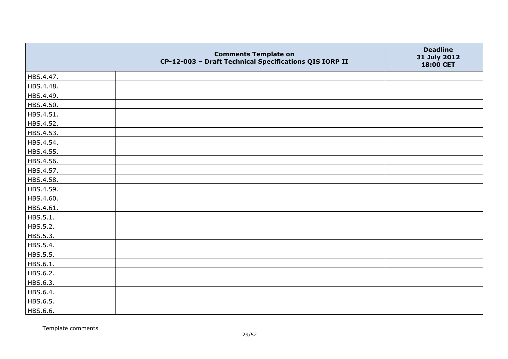|           | <b>Comments Template on</b><br>CP-12-003 - Draft Technical Specifications QIS IORP II | <b>Deadline</b><br>31 July 2012<br>18:00 CET |
|-----------|---------------------------------------------------------------------------------------|----------------------------------------------|
| HBS.4.47. |                                                                                       |                                              |
| HBS.4.48. |                                                                                       |                                              |
| HBS.4.49. |                                                                                       |                                              |
| HBS.4.50. |                                                                                       |                                              |
| HBS.4.51. |                                                                                       |                                              |
| HBS.4.52. |                                                                                       |                                              |
| HBS.4.53. |                                                                                       |                                              |
| HBS.4.54. |                                                                                       |                                              |
| HBS.4.55. |                                                                                       |                                              |
| HBS.4.56. |                                                                                       |                                              |
| HBS.4.57. |                                                                                       |                                              |
| HBS.4.58. |                                                                                       |                                              |
| HBS.4.59. |                                                                                       |                                              |
| HBS.4.60. |                                                                                       |                                              |
| HBS.4.61. |                                                                                       |                                              |
| HBS.5.1.  |                                                                                       |                                              |
| HBS.5.2.  |                                                                                       |                                              |
| HBS.5.3.  |                                                                                       |                                              |
| HBS.5.4.  |                                                                                       |                                              |
| HBS.5.5.  |                                                                                       |                                              |
| HBS.6.1.  |                                                                                       |                                              |
| HBS.6.2.  |                                                                                       |                                              |
| HBS.6.3.  |                                                                                       |                                              |
| HBS.6.4.  |                                                                                       |                                              |
| HBS.6.5.  |                                                                                       |                                              |
| HBS.6.6.  |                                                                                       |                                              |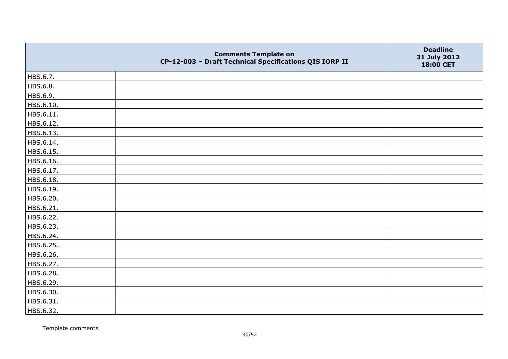|           | <b>Comments Template on</b><br>CP-12-003 - Draft Technical Specifications QIS IORP II | <b>Deadline</b><br>31 July 2012<br>18:00 CET |
|-----------|---------------------------------------------------------------------------------------|----------------------------------------------|
| HBS.6.7.  |                                                                                       |                                              |
| HBS.6.8.  |                                                                                       |                                              |
| HBS.6.9.  |                                                                                       |                                              |
| HBS.6.10. |                                                                                       |                                              |
| HBS.6.11. |                                                                                       |                                              |
| HBS.6.12. |                                                                                       |                                              |
| HBS.6.13. |                                                                                       |                                              |
| HBS.6.14. |                                                                                       |                                              |
| HBS.6.15. |                                                                                       |                                              |
| HBS.6.16. |                                                                                       |                                              |
| HBS.6.17. |                                                                                       |                                              |
| HBS.6.18. |                                                                                       |                                              |
| HBS.6.19. |                                                                                       |                                              |
| HBS.6.20. |                                                                                       |                                              |
| HBS.6.21. |                                                                                       |                                              |
| HBS.6.22. |                                                                                       |                                              |
| HBS.6.23. |                                                                                       |                                              |
| HBS.6.24. |                                                                                       |                                              |
| HBS.6.25. |                                                                                       |                                              |
| HBS.6.26. |                                                                                       |                                              |
| HBS.6.27. |                                                                                       |                                              |
| HBS.6.28. |                                                                                       |                                              |
| HBS.6.29. |                                                                                       |                                              |
| HBS.6.30. |                                                                                       |                                              |
| HBS.6.31. |                                                                                       |                                              |
| HBS.6.32. |                                                                                       |                                              |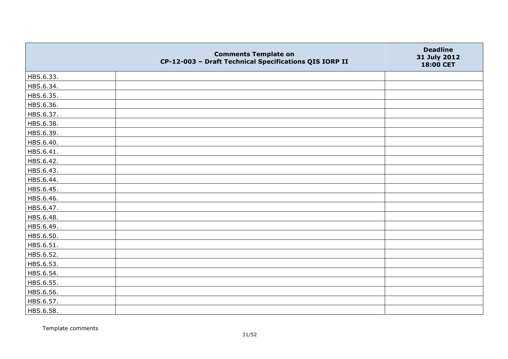|           | <b>Comments Template on</b><br>CP-12-003 - Draft Technical Specifications QIS IORP II | <b>Deadline</b><br>31 July 2012<br>18:00 CET |
|-----------|---------------------------------------------------------------------------------------|----------------------------------------------|
| HBS.6.33. |                                                                                       |                                              |
| HBS.6.34. |                                                                                       |                                              |
| HBS.6.35. |                                                                                       |                                              |
| HBS.6.36. |                                                                                       |                                              |
| HBS.6.37. |                                                                                       |                                              |
| HBS.6.38. |                                                                                       |                                              |
| HBS.6.39. |                                                                                       |                                              |
| HBS.6.40. |                                                                                       |                                              |
| HBS.6.41. |                                                                                       |                                              |
| HBS.6.42. |                                                                                       |                                              |
| HBS.6.43. |                                                                                       |                                              |
| HBS.6.44. |                                                                                       |                                              |
| HBS.6.45. |                                                                                       |                                              |
| HBS.6.46. |                                                                                       |                                              |
| HBS.6.47. |                                                                                       |                                              |
| HBS.6.48. |                                                                                       |                                              |
| HBS.6.49. |                                                                                       |                                              |
| HBS.6.50. |                                                                                       |                                              |
| HBS.6.51. |                                                                                       |                                              |
| HBS.6.52. |                                                                                       |                                              |
| HBS.6.53. |                                                                                       |                                              |
| HBS.6.54. |                                                                                       |                                              |
| HBS.6.55. |                                                                                       |                                              |
| HBS.6.56. |                                                                                       |                                              |
| HBS.6.57. |                                                                                       |                                              |
| HBS.6.58. |                                                                                       |                                              |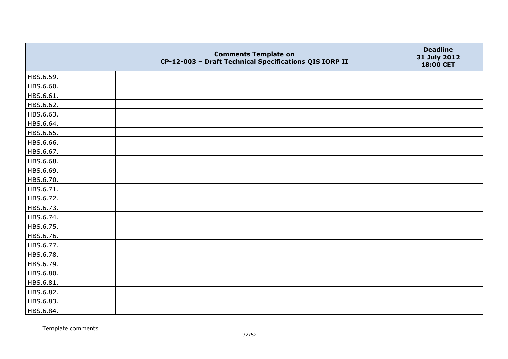|           | <b>Comments Template on</b><br>CP-12-003 - Draft Technical Specifications QIS IORP II | <b>Deadline</b><br>31 July 2012<br>18:00 CET |
|-----------|---------------------------------------------------------------------------------------|----------------------------------------------|
| HBS.6.59. |                                                                                       |                                              |
| HBS.6.60. |                                                                                       |                                              |
| HBS.6.61. |                                                                                       |                                              |
| HBS.6.62. |                                                                                       |                                              |
| HBS.6.63. |                                                                                       |                                              |
| HBS.6.64. |                                                                                       |                                              |
| HBS.6.65. |                                                                                       |                                              |
| HBS.6.66. |                                                                                       |                                              |
| HBS.6.67. |                                                                                       |                                              |
| HBS.6.68. |                                                                                       |                                              |
| HBS.6.69. |                                                                                       |                                              |
| HBS.6.70. |                                                                                       |                                              |
| HBS.6.71. |                                                                                       |                                              |
| HBS.6.72. |                                                                                       |                                              |
| HBS.6.73. |                                                                                       |                                              |
| HBS.6.74. |                                                                                       |                                              |
| HBS.6.75. |                                                                                       |                                              |
| HBS.6.76. |                                                                                       |                                              |
| HBS.6.77. |                                                                                       |                                              |
| HBS.6.78. |                                                                                       |                                              |
| HBS.6.79. |                                                                                       |                                              |
| HBS.6.80. |                                                                                       |                                              |
| HBS.6.81. |                                                                                       |                                              |
| HBS.6.82. |                                                                                       |                                              |
| HBS.6.83. |                                                                                       |                                              |
| HBS.6.84. |                                                                                       |                                              |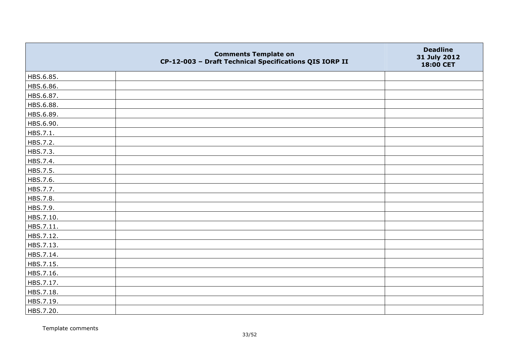|           | <b>Comments Template on</b><br>CP-12-003 - Draft Technical Specifications QIS IORP II | <b>Deadline</b><br>31 July 2012<br>18:00 CET |
|-----------|---------------------------------------------------------------------------------------|----------------------------------------------|
| HBS.6.85. |                                                                                       |                                              |
| HBS.6.86. |                                                                                       |                                              |
| HBS.6.87. |                                                                                       |                                              |
| HBS.6.88. |                                                                                       |                                              |
| HBS.6.89. |                                                                                       |                                              |
| HBS.6.90. |                                                                                       |                                              |
| HBS.7.1.  |                                                                                       |                                              |
| HBS.7.2.  |                                                                                       |                                              |
| HBS.7.3.  |                                                                                       |                                              |
| HBS.7.4.  |                                                                                       |                                              |
| HBS.7.5.  |                                                                                       |                                              |
| HBS.7.6.  |                                                                                       |                                              |
| HBS.7.7.  |                                                                                       |                                              |
| HBS.7.8.  |                                                                                       |                                              |
| HBS.7.9.  |                                                                                       |                                              |
| HBS.7.10. |                                                                                       |                                              |
| HBS.7.11. |                                                                                       |                                              |
| HBS.7.12. |                                                                                       |                                              |
| HBS.7.13. |                                                                                       |                                              |
| HBS.7.14. |                                                                                       |                                              |
| HBS.7.15. |                                                                                       |                                              |
| HBS.7.16. |                                                                                       |                                              |
| HBS.7.17. |                                                                                       |                                              |
| HBS.7.18. |                                                                                       |                                              |
| HBS.7.19. |                                                                                       |                                              |
| HBS.7.20. |                                                                                       |                                              |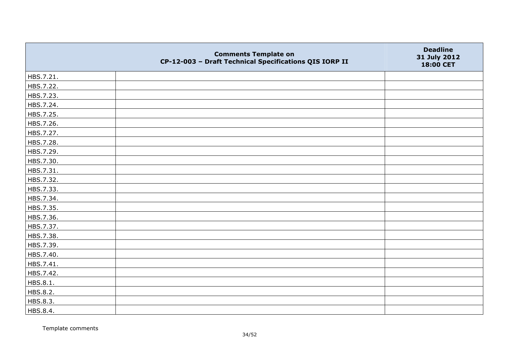|           | <b>Comments Template on</b><br>CP-12-003 - Draft Technical Specifications QIS IORP II | <b>Deadline</b><br>31 July 2012<br>18:00 CET |
|-----------|---------------------------------------------------------------------------------------|----------------------------------------------|
| HBS.7.21. |                                                                                       |                                              |
| HBS.7.22. |                                                                                       |                                              |
| HBS.7.23. |                                                                                       |                                              |
| HBS.7.24. |                                                                                       |                                              |
| HBS.7.25. |                                                                                       |                                              |
| HBS.7.26. |                                                                                       |                                              |
| HBS.7.27. |                                                                                       |                                              |
| HBS.7.28. |                                                                                       |                                              |
| HBS.7.29. |                                                                                       |                                              |
| HBS.7.30. |                                                                                       |                                              |
| HBS.7.31. |                                                                                       |                                              |
| HBS.7.32. |                                                                                       |                                              |
| HBS.7.33. |                                                                                       |                                              |
| HBS.7.34. |                                                                                       |                                              |
| HBS.7.35. |                                                                                       |                                              |
| HBS.7.36. |                                                                                       |                                              |
| HBS.7.37. |                                                                                       |                                              |
| HBS.7.38. |                                                                                       |                                              |
| HBS.7.39. |                                                                                       |                                              |
| HBS.7.40. |                                                                                       |                                              |
| HBS.7.41. |                                                                                       |                                              |
| HBS.7.42. |                                                                                       |                                              |
| HBS.8.1.  |                                                                                       |                                              |
| HBS.8.2.  |                                                                                       |                                              |
| HBS.8.3.  |                                                                                       |                                              |
| HBS.8.4.  |                                                                                       |                                              |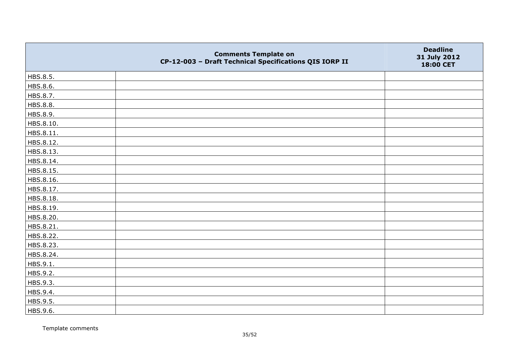|           | <b>Comments Template on</b><br>CP-12-003 - Draft Technical Specifications QIS IORP II | <b>Deadline</b><br>31 July 2012<br>18:00 CET |
|-----------|---------------------------------------------------------------------------------------|----------------------------------------------|
| HBS.8.5.  |                                                                                       |                                              |
| HBS.8.6.  |                                                                                       |                                              |
| HBS.8.7.  |                                                                                       |                                              |
| HBS.8.8.  |                                                                                       |                                              |
| HBS.8.9.  |                                                                                       |                                              |
| HBS.8.10. |                                                                                       |                                              |
| HBS.8.11. |                                                                                       |                                              |
| HBS.8.12. |                                                                                       |                                              |
| HBS.8.13. |                                                                                       |                                              |
| HBS.8.14. |                                                                                       |                                              |
| HBS.8.15. |                                                                                       |                                              |
| HBS.8.16. |                                                                                       |                                              |
| HBS.8.17. |                                                                                       |                                              |
| HBS.8.18. |                                                                                       |                                              |
| HBS.8.19. |                                                                                       |                                              |
| HBS.8.20. |                                                                                       |                                              |
| HBS.8.21. |                                                                                       |                                              |
| HBS.8.22. |                                                                                       |                                              |
| HBS.8.23. |                                                                                       |                                              |
| HBS.8.24. |                                                                                       |                                              |
| HBS.9.1.  |                                                                                       |                                              |
| HBS.9.2.  |                                                                                       |                                              |
| HBS.9.3.  |                                                                                       |                                              |
| HBS.9.4.  |                                                                                       |                                              |
| HBS.9.5.  |                                                                                       |                                              |
| HBS.9.6.  |                                                                                       |                                              |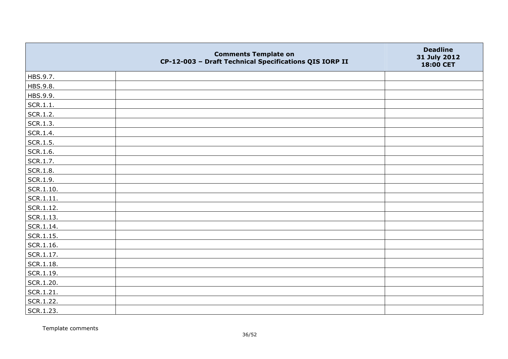|                   | <b>Comments Template on</b><br>CP-12-003 - Draft Technical Specifications QIS IORP II | <b>Deadline</b><br>31 July 2012<br>18:00 CET |
|-------------------|---------------------------------------------------------------------------------------|----------------------------------------------|
| HBS.9.7.          |                                                                                       |                                              |
| HBS.9.8.          |                                                                                       |                                              |
| HBS.9.9.          |                                                                                       |                                              |
| SCR.1.1.          |                                                                                       |                                              |
| SCR.1.2.          |                                                                                       |                                              |
| SCR.1.3.          |                                                                                       |                                              |
| SCR.1.4.          |                                                                                       |                                              |
| SCR.1.5.          |                                                                                       |                                              |
| SCR.1.6.          |                                                                                       |                                              |
| SCR.1.7.          |                                                                                       |                                              |
| <b>SCR.1.8.</b>   |                                                                                       |                                              |
| SCR.1.9.          |                                                                                       |                                              |
| SCR.1.10.         |                                                                                       |                                              |
| SCR.1.11.         |                                                                                       |                                              |
| SCR.1.12.         |                                                                                       |                                              |
| SCR.1.13.         |                                                                                       |                                              |
| SCR.1.14.         |                                                                                       |                                              |
| $\vert$ SCR.1.15. |                                                                                       |                                              |
| SCR.1.16.         |                                                                                       |                                              |
| SCR.1.17.         |                                                                                       |                                              |
| $ $ SCR.1.18.     |                                                                                       |                                              |
| SCR.1.19.         |                                                                                       |                                              |
| SCR.1.20.         |                                                                                       |                                              |
| SCR.1.21.         |                                                                                       |                                              |
| SCR.1.22.         |                                                                                       |                                              |
| SCR.1.23.         |                                                                                       |                                              |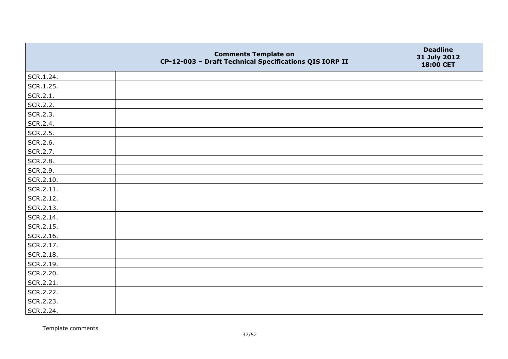|           | <b>Comments Template on</b><br>CP-12-003 - Draft Technical Specifications QIS IORP II | <b>Deadline</b><br>31 July 2012<br>18:00 CET |
|-----------|---------------------------------------------------------------------------------------|----------------------------------------------|
| SCR.1.24. |                                                                                       |                                              |
| SCR.1.25. |                                                                                       |                                              |
| SCR.2.1.  |                                                                                       |                                              |
| SCR.2.2.  |                                                                                       |                                              |
| SCR.2.3.  |                                                                                       |                                              |
| SCR.2.4.  |                                                                                       |                                              |
| SCR.2.5.  |                                                                                       |                                              |
| SCR.2.6.  |                                                                                       |                                              |
| SCR.2.7.  |                                                                                       |                                              |
| SCR.2.8.  |                                                                                       |                                              |
| SCR.2.9.  |                                                                                       |                                              |
| SCR.2.10. |                                                                                       |                                              |
| SCR.2.11. |                                                                                       |                                              |
| SCR.2.12. |                                                                                       |                                              |
| SCR.2.13. |                                                                                       |                                              |
| SCR.2.14. |                                                                                       |                                              |
| SCR.2.15. |                                                                                       |                                              |
| SCR.2.16. |                                                                                       |                                              |
| SCR.2.17. |                                                                                       |                                              |
| SCR.2.18. |                                                                                       |                                              |
| SCR.2.19. |                                                                                       |                                              |
| SCR.2.20. |                                                                                       |                                              |
| SCR.2.21. |                                                                                       |                                              |
| SCR.2.22. |                                                                                       |                                              |
| SCR.2.23. |                                                                                       |                                              |
| SCR.2.24. |                                                                                       |                                              |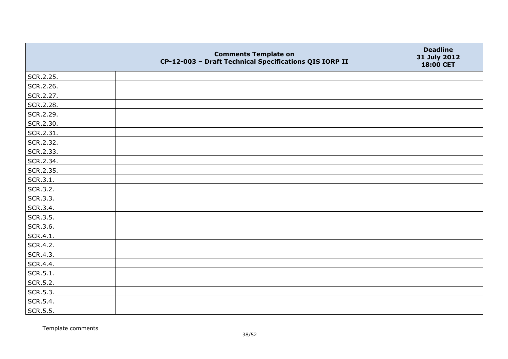|           | <b>Comments Template on</b><br>CP-12-003 - Draft Technical Specifications QIS IORP II | <b>Deadline</b><br>31 July 2012<br>18:00 CET |
|-----------|---------------------------------------------------------------------------------------|----------------------------------------------|
| SCR.2.25. |                                                                                       |                                              |
| SCR.2.26. |                                                                                       |                                              |
| SCR.2.27. |                                                                                       |                                              |
| SCR.2.28. |                                                                                       |                                              |
| SCR.2.29. |                                                                                       |                                              |
| SCR.2.30. |                                                                                       |                                              |
| SCR.2.31. |                                                                                       |                                              |
| SCR.2.32. |                                                                                       |                                              |
| SCR.2.33. |                                                                                       |                                              |
| SCR.2.34. |                                                                                       |                                              |
| SCR.2.35. |                                                                                       |                                              |
| SCR.3.1.  |                                                                                       |                                              |
| SCR.3.2.  |                                                                                       |                                              |
| SCR.3.3.  |                                                                                       |                                              |
| SCR.3.4.  |                                                                                       |                                              |
| SCR.3.5.  |                                                                                       |                                              |
| SCR.3.6.  |                                                                                       |                                              |
| SCR.4.1.  |                                                                                       |                                              |
| SCR.4.2.  |                                                                                       |                                              |
| SCR.4.3.  |                                                                                       |                                              |
| SCR.4.4.  |                                                                                       |                                              |
| SCR.5.1.  |                                                                                       |                                              |
| SCR.5.2.  |                                                                                       |                                              |
| SCR.5.3.  |                                                                                       |                                              |
| SCR.5.4.  |                                                                                       |                                              |
| SCR.5.5.  |                                                                                       |                                              |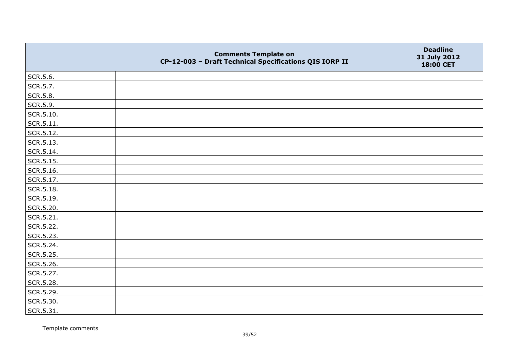|                   | <b>Comments Template on</b><br>CP-12-003 - Draft Technical Specifications QIS IORP II | <b>Deadline</b><br>31 July 2012<br>18:00 CET |
|-------------------|---------------------------------------------------------------------------------------|----------------------------------------------|
| SCR.5.6.          |                                                                                       |                                              |
| SCR.5.7.          |                                                                                       |                                              |
| SCR.5.8.          |                                                                                       |                                              |
| SCR.5.9.          |                                                                                       |                                              |
| SCR.5.10.         |                                                                                       |                                              |
| $\vert$ SCR.5.11. |                                                                                       |                                              |
| SCR.5.12.         |                                                                                       |                                              |
| SCR.5.13.         |                                                                                       |                                              |
| SCR.5.14.         |                                                                                       |                                              |
| SCR.5.15.         |                                                                                       |                                              |
| SCR.5.16.         |                                                                                       |                                              |
| SCR.5.17.         |                                                                                       |                                              |
| SCR.5.18.         |                                                                                       |                                              |
| SCR.5.19.         |                                                                                       |                                              |
| SCR.5.20.         |                                                                                       |                                              |
| SCR.5.21.         |                                                                                       |                                              |
| SCR.5.22.         |                                                                                       |                                              |
| SCR.5.23.         |                                                                                       |                                              |
| SCR.5.24.         |                                                                                       |                                              |
| SCR.5.25.         |                                                                                       |                                              |
| SCR.5.26.         |                                                                                       |                                              |
| SCR.5.27.         |                                                                                       |                                              |
| SCR.5.28.         |                                                                                       |                                              |
| SCR.5.29.         |                                                                                       |                                              |
| SCR.5.30.         |                                                                                       |                                              |
| SCR.5.31.         |                                                                                       |                                              |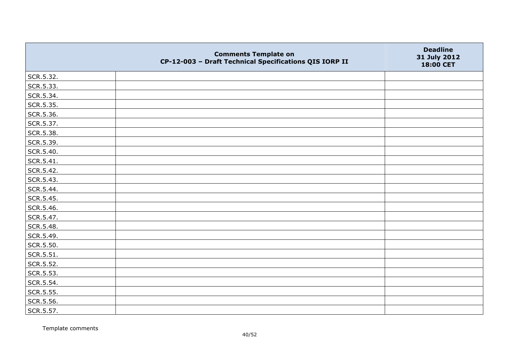|           | <b>Comments Template on</b><br>CP-12-003 - Draft Technical Specifications QIS IORP II | <b>Deadline</b><br>31 July 2012<br>18:00 CET |
|-----------|---------------------------------------------------------------------------------------|----------------------------------------------|
| SCR.5.32. |                                                                                       |                                              |
| SCR.5.33. |                                                                                       |                                              |
| SCR.5.34. |                                                                                       |                                              |
| SCR.5.35. |                                                                                       |                                              |
| SCR.5.36. |                                                                                       |                                              |
| SCR.5.37. |                                                                                       |                                              |
| SCR.5.38. |                                                                                       |                                              |
| SCR.5.39. |                                                                                       |                                              |
| SCR.5.40. |                                                                                       |                                              |
| SCR.5.41. |                                                                                       |                                              |
| SCR.5.42. |                                                                                       |                                              |
| SCR.5.43. |                                                                                       |                                              |
| SCR.5.44. |                                                                                       |                                              |
| SCR.5.45. |                                                                                       |                                              |
| SCR.5.46. |                                                                                       |                                              |
| SCR.5.47. |                                                                                       |                                              |
| SCR.5.48. |                                                                                       |                                              |
| SCR.5.49. |                                                                                       |                                              |
| SCR.5.50. |                                                                                       |                                              |
| SCR.5.51. |                                                                                       |                                              |
| SCR.5.52. |                                                                                       |                                              |
| SCR.5.53. |                                                                                       |                                              |
| SCR.5.54. |                                                                                       |                                              |
| SCR.5.55. |                                                                                       |                                              |
| SCR.5.56. |                                                                                       |                                              |
| SCR.5.57. |                                                                                       |                                              |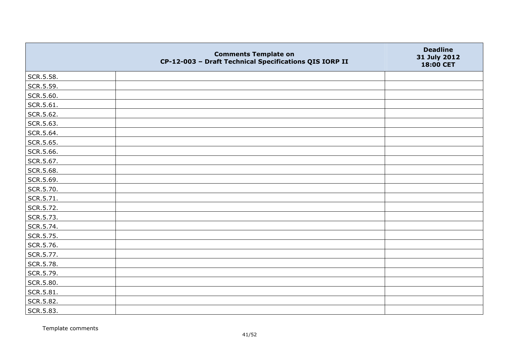|                   | <b>Comments Template on</b><br>CP-12-003 - Draft Technical Specifications QIS IORP II | <b>Deadline</b><br>31 July 2012<br>18:00 CET |
|-------------------|---------------------------------------------------------------------------------------|----------------------------------------------|
| SCR.5.58.         |                                                                                       |                                              |
| SCR.5.59.         |                                                                                       |                                              |
| SCR.5.60.         |                                                                                       |                                              |
| $ $ SCR.5.61.     |                                                                                       |                                              |
| SCR.5.62.         |                                                                                       |                                              |
| SCR.5.63.         |                                                                                       |                                              |
| SCR.5.64.         |                                                                                       |                                              |
| SCR.5.65.         |                                                                                       |                                              |
| SCR.5.66.         |                                                                                       |                                              |
| SCR.5.67.         |                                                                                       |                                              |
| SCR.5.68.         |                                                                                       |                                              |
| SCR.5.69.         |                                                                                       |                                              |
| SCR.5.70.         |                                                                                       |                                              |
| SCR.5.71.         |                                                                                       |                                              |
| SCR.5.72.         |                                                                                       |                                              |
| SCR.5.73.         |                                                                                       |                                              |
| SCR.5.74.         |                                                                                       |                                              |
| SCR.5.75.         |                                                                                       |                                              |
| SCR.5.76.         |                                                                                       |                                              |
| SCR.5.77.         |                                                                                       |                                              |
| SCR.5.78.         |                                                                                       |                                              |
| SCR.5.79.         |                                                                                       |                                              |
| SCR.5.80.         |                                                                                       |                                              |
| $\vert$ SCR.5.81. |                                                                                       |                                              |
| SCR.5.82.         |                                                                                       |                                              |
| SCR.5.83.         |                                                                                       |                                              |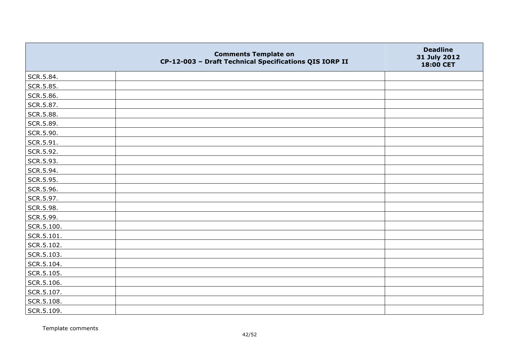|            | <b>Comments Template on</b><br>CP-12-003 - Draft Technical Specifications QIS IORP II | <b>Deadline</b><br>31 July 2012<br>18:00 CET |
|------------|---------------------------------------------------------------------------------------|----------------------------------------------|
| SCR.5.84.  |                                                                                       |                                              |
| SCR.5.85.  |                                                                                       |                                              |
| SCR.5.86.  |                                                                                       |                                              |
| SCR.5.87.  |                                                                                       |                                              |
| SCR.5.88.  |                                                                                       |                                              |
| SCR.5.89.  |                                                                                       |                                              |
| SCR.5.90.  |                                                                                       |                                              |
| SCR.5.91.  |                                                                                       |                                              |
| SCR.5.92.  |                                                                                       |                                              |
| SCR.5.93.  |                                                                                       |                                              |
| SCR.5.94.  |                                                                                       |                                              |
| SCR.5.95.  |                                                                                       |                                              |
| SCR.5.96.  |                                                                                       |                                              |
| SCR.5.97.  |                                                                                       |                                              |
| SCR.5.98.  |                                                                                       |                                              |
| SCR.5.99.  |                                                                                       |                                              |
| SCR.5.100. |                                                                                       |                                              |
| SCR.5.101. |                                                                                       |                                              |
| SCR.5.102. |                                                                                       |                                              |
| SCR.5.103. |                                                                                       |                                              |
| SCR.5.104. |                                                                                       |                                              |
| SCR.5.105. |                                                                                       |                                              |
| SCR.5.106. |                                                                                       |                                              |
| SCR.5.107. |                                                                                       |                                              |
| SCR.5.108. |                                                                                       |                                              |
| SCR.5.109. |                                                                                       |                                              |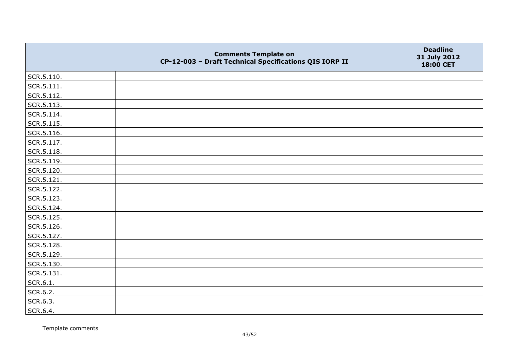|            | <b>Comments Template on</b><br>CP-12-003 - Draft Technical Specifications QIS IORP II | <b>Deadline</b><br>31 July 2012<br>18:00 CET |
|------------|---------------------------------------------------------------------------------------|----------------------------------------------|
| SCR.5.110. |                                                                                       |                                              |
| SCR.5.111. |                                                                                       |                                              |
| SCR.5.112. |                                                                                       |                                              |
| SCR.5.113. |                                                                                       |                                              |
| SCR.5.114. |                                                                                       |                                              |
| SCR.5.115. |                                                                                       |                                              |
| SCR.5.116. |                                                                                       |                                              |
| SCR.5.117. |                                                                                       |                                              |
| SCR.5.118. |                                                                                       |                                              |
| SCR.5.119. |                                                                                       |                                              |
| SCR.5.120. |                                                                                       |                                              |
| SCR.5.121. |                                                                                       |                                              |
| SCR.5.122. |                                                                                       |                                              |
| SCR.5.123. |                                                                                       |                                              |
| SCR.5.124. |                                                                                       |                                              |
| SCR.5.125. |                                                                                       |                                              |
| SCR.5.126. |                                                                                       |                                              |
| SCR.5.127. |                                                                                       |                                              |
| SCR.5.128. |                                                                                       |                                              |
| SCR.5.129. |                                                                                       |                                              |
| SCR.5.130. |                                                                                       |                                              |
| SCR.5.131. |                                                                                       |                                              |
| SCR.6.1.   |                                                                                       |                                              |
| SCR.6.2.   |                                                                                       |                                              |
| SCR.6.3.   |                                                                                       |                                              |
| SCR.6.4.   |                                                                                       |                                              |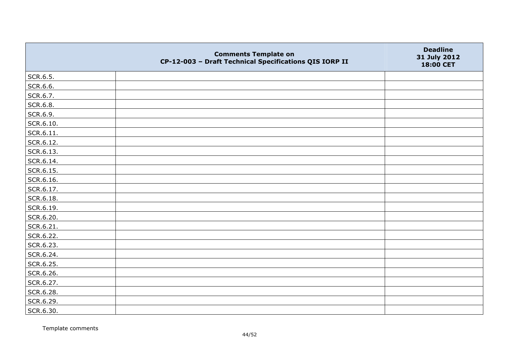|                 | <b>Comments Template on</b><br>CP-12-003 - Draft Technical Specifications QIS IORP II | <b>Deadline</b><br>31 July 2012<br>18:00 CET |
|-----------------|---------------------------------------------------------------------------------------|----------------------------------------------|
| SCR.6.5.        |                                                                                       |                                              |
| SCR.6.6.        |                                                                                       |                                              |
| SCR.6.7.        |                                                                                       |                                              |
| <b>SCR.6.8.</b> |                                                                                       |                                              |
| SCR.6.9.        |                                                                                       |                                              |
| SCR.6.10.       |                                                                                       |                                              |
| SCR.6.11.       |                                                                                       |                                              |
| SCR.6.12.       |                                                                                       |                                              |
| SCR.6.13.       |                                                                                       |                                              |
| SCR.6.14.       |                                                                                       |                                              |
| SCR.6.15.       |                                                                                       |                                              |
| SCR.6.16.       |                                                                                       |                                              |
| SCR.6.17.       |                                                                                       |                                              |
| SCR.6.18.       |                                                                                       |                                              |
| SCR.6.19.       |                                                                                       |                                              |
| SCR.6.20.       |                                                                                       |                                              |
| SCR.6.21.       |                                                                                       |                                              |
| SCR.6.22.       |                                                                                       |                                              |
| SCR.6.23.       |                                                                                       |                                              |
| SCR.6.24.       |                                                                                       |                                              |
| SCR.6.25.       |                                                                                       |                                              |
| SCR.6.26.       |                                                                                       |                                              |
| SCR.6.27.       |                                                                                       |                                              |
| SCR.6.28.       |                                                                                       |                                              |
| SCR.6.29.       |                                                                                       |                                              |
| SCR.6.30.       |                                                                                       |                                              |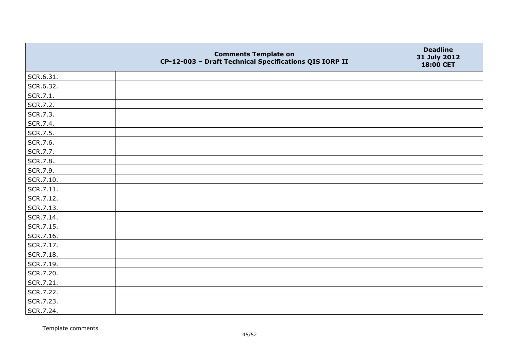|           | <b>Comments Template on</b><br>CP-12-003 - Draft Technical Specifications QIS IORP II | <b>Deadline</b><br>31 July 2012<br>18:00 CET |
|-----------|---------------------------------------------------------------------------------------|----------------------------------------------|
| SCR.6.31. |                                                                                       |                                              |
| SCR.6.32. |                                                                                       |                                              |
| SCR.7.1.  |                                                                                       |                                              |
| SCR.7.2.  |                                                                                       |                                              |
| SCR.7.3.  |                                                                                       |                                              |
| SCR.7.4.  |                                                                                       |                                              |
| SCR.7.5.  |                                                                                       |                                              |
| SCR.7.6.  |                                                                                       |                                              |
| SCR.7.7.  |                                                                                       |                                              |
| SCR.7.8.  |                                                                                       |                                              |
| SCR.7.9.  |                                                                                       |                                              |
| SCR.7.10. |                                                                                       |                                              |
| SCR.7.11. |                                                                                       |                                              |
| SCR.7.12. |                                                                                       |                                              |
| SCR.7.13. |                                                                                       |                                              |
| SCR.7.14. |                                                                                       |                                              |
| SCR.7.15. |                                                                                       |                                              |
| SCR.7.16. |                                                                                       |                                              |
| SCR.7.17. |                                                                                       |                                              |
| SCR.7.18. |                                                                                       |                                              |
| SCR.7.19. |                                                                                       |                                              |
| SCR.7.20. |                                                                                       |                                              |
| SCR.7.21. |                                                                                       |                                              |
| SCR.7.22. |                                                                                       |                                              |
| SCR.7.23. |                                                                                       |                                              |
| SCR.7.24. |                                                                                       |                                              |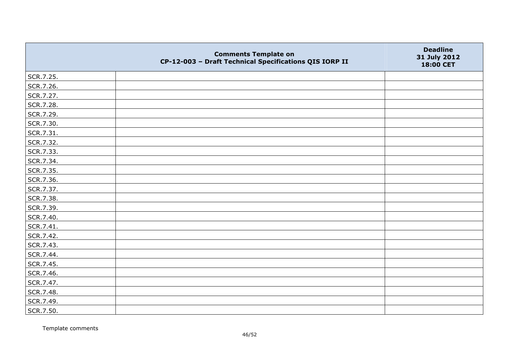|           | <b>Comments Template on</b><br>CP-12-003 - Draft Technical Specifications QIS IORP II | <b>Deadline</b><br>31 July 2012<br>18:00 CET |
|-----------|---------------------------------------------------------------------------------------|----------------------------------------------|
| SCR.7.25. |                                                                                       |                                              |
| SCR.7.26. |                                                                                       |                                              |
| SCR.7.27. |                                                                                       |                                              |
| SCR.7.28. |                                                                                       |                                              |
| SCR.7.29. |                                                                                       |                                              |
| SCR.7.30. |                                                                                       |                                              |
| SCR.7.31. |                                                                                       |                                              |
| SCR.7.32. |                                                                                       |                                              |
| SCR.7.33. |                                                                                       |                                              |
| SCR.7.34. |                                                                                       |                                              |
| SCR.7.35. |                                                                                       |                                              |
| SCR.7.36. |                                                                                       |                                              |
| SCR.7.37. |                                                                                       |                                              |
| SCR.7.38. |                                                                                       |                                              |
| SCR.7.39. |                                                                                       |                                              |
| SCR.7.40. |                                                                                       |                                              |
| SCR.7.41. |                                                                                       |                                              |
| SCR.7.42. |                                                                                       |                                              |
| SCR.7.43. |                                                                                       |                                              |
| SCR.7.44. |                                                                                       |                                              |
| SCR.7.45. |                                                                                       |                                              |
| SCR.7.46. |                                                                                       |                                              |
| SCR.7.47. |                                                                                       |                                              |
| SCR.7.48. |                                                                                       |                                              |
| SCR.7.49. |                                                                                       |                                              |
| SCR.7.50. |                                                                                       |                                              |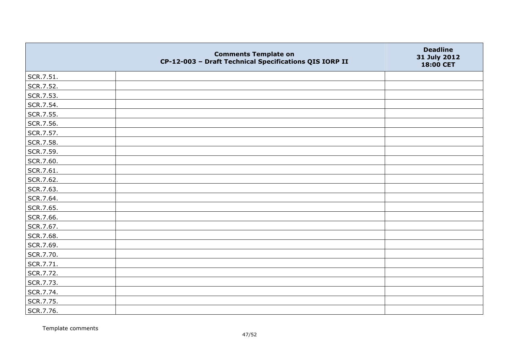|           | <b>Comments Template on</b><br>CP-12-003 - Draft Technical Specifications QIS IORP II | <b>Deadline</b><br>31 July 2012<br>18:00 CET |
|-----------|---------------------------------------------------------------------------------------|----------------------------------------------|
| SCR.7.51. |                                                                                       |                                              |
| SCR.7.52. |                                                                                       |                                              |
| SCR.7.53. |                                                                                       |                                              |
| SCR.7.54. |                                                                                       |                                              |
| SCR.7.55. |                                                                                       |                                              |
| SCR.7.56. |                                                                                       |                                              |
| SCR.7.57. |                                                                                       |                                              |
| SCR.7.58. |                                                                                       |                                              |
| SCR.7.59. |                                                                                       |                                              |
| SCR.7.60. |                                                                                       |                                              |
| SCR.7.61. |                                                                                       |                                              |
| SCR.7.62. |                                                                                       |                                              |
| SCR.7.63. |                                                                                       |                                              |
| SCR.7.64. |                                                                                       |                                              |
| SCR.7.65. |                                                                                       |                                              |
| SCR.7.66. |                                                                                       |                                              |
| SCR.7.67. |                                                                                       |                                              |
| SCR.7.68. |                                                                                       |                                              |
| SCR.7.69. |                                                                                       |                                              |
| SCR.7.70. |                                                                                       |                                              |
| SCR.7.71. |                                                                                       |                                              |
| SCR.7.72. |                                                                                       |                                              |
| SCR.7.73. |                                                                                       |                                              |
| SCR.7.74. |                                                                                       |                                              |
| SCR.7.75. |                                                                                       |                                              |
| SCR.7.76. |                                                                                       |                                              |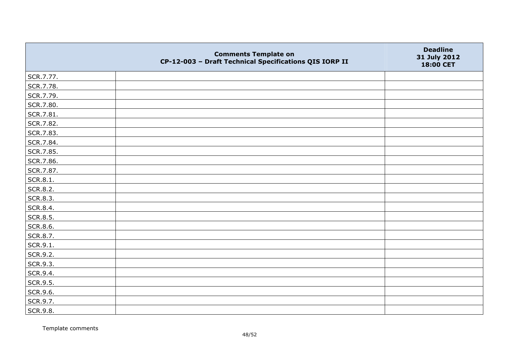|           | <b>Comments Template on</b><br>CP-12-003 - Draft Technical Specifications QIS IORP II | <b>Deadline</b><br>31 July 2012<br>18:00 CET |
|-----------|---------------------------------------------------------------------------------------|----------------------------------------------|
| SCR.7.77. |                                                                                       |                                              |
| SCR.7.78. |                                                                                       |                                              |
| SCR.7.79. |                                                                                       |                                              |
| SCR.7.80. |                                                                                       |                                              |
| SCR.7.81. |                                                                                       |                                              |
| SCR.7.82. |                                                                                       |                                              |
| SCR.7.83. |                                                                                       |                                              |
| SCR.7.84. |                                                                                       |                                              |
| SCR.7.85. |                                                                                       |                                              |
| SCR.7.86. |                                                                                       |                                              |
| SCR.7.87. |                                                                                       |                                              |
| SCR.8.1.  |                                                                                       |                                              |
| SCR.8.2.  |                                                                                       |                                              |
| SCR.8.3.  |                                                                                       |                                              |
| SCR.8.4.  |                                                                                       |                                              |
| SCR.8.5.  |                                                                                       |                                              |
| SCR.8.6.  |                                                                                       |                                              |
| SCR.8.7.  |                                                                                       |                                              |
| SCR.9.1.  |                                                                                       |                                              |
| SCR.9.2.  |                                                                                       |                                              |
| SCR.9.3.  |                                                                                       |                                              |
| SCR.9.4.  |                                                                                       |                                              |
| SCR.9.5.  |                                                                                       |                                              |
| SCR.9.6.  |                                                                                       |                                              |
| SCR.9.7.  |                                                                                       |                                              |
| SCR.9.8.  |                                                                                       |                                              |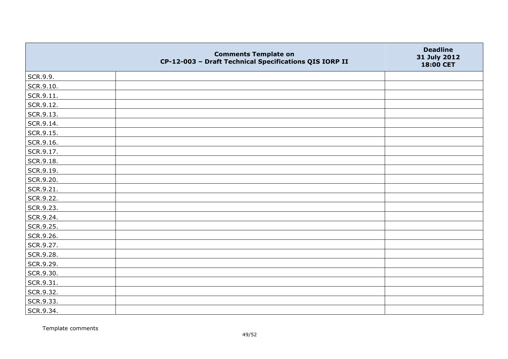|           | <b>Comments Template on</b><br>CP-12-003 - Draft Technical Specifications QIS IORP II | <b>Deadline</b><br>31 July 2012<br>18:00 CET |
|-----------|---------------------------------------------------------------------------------------|----------------------------------------------|
| SCR.9.9.  |                                                                                       |                                              |
| SCR.9.10. |                                                                                       |                                              |
| SCR.9.11. |                                                                                       |                                              |
| SCR.9.12. |                                                                                       |                                              |
| SCR.9.13. |                                                                                       |                                              |
| SCR.9.14. |                                                                                       |                                              |
| SCR.9.15. |                                                                                       |                                              |
| SCR.9.16. |                                                                                       |                                              |
| SCR.9.17. |                                                                                       |                                              |
| SCR.9.18. |                                                                                       |                                              |
| SCR.9.19. |                                                                                       |                                              |
| SCR.9.20. |                                                                                       |                                              |
| SCR.9.21. |                                                                                       |                                              |
| SCR.9.22. |                                                                                       |                                              |
| SCR.9.23. |                                                                                       |                                              |
| SCR.9.24. |                                                                                       |                                              |
| SCR.9.25. |                                                                                       |                                              |
| SCR.9.26. |                                                                                       |                                              |
| SCR.9.27. |                                                                                       |                                              |
| SCR.9.28. |                                                                                       |                                              |
| SCR.9.29. |                                                                                       |                                              |
| SCR.9.30. |                                                                                       |                                              |
| SCR.9.31. |                                                                                       |                                              |
| SCR.9.32. |                                                                                       |                                              |
| SCR.9.33. |                                                                                       |                                              |
| SCR.9.34. |                                                                                       |                                              |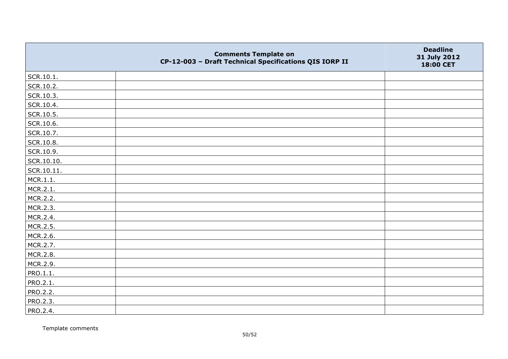|            | <b>Comments Template on</b><br>CP-12-003 - Draft Technical Specifications QIS IORP II | <b>Deadline</b><br>31 July 2012<br>18:00 CET |
|------------|---------------------------------------------------------------------------------------|----------------------------------------------|
| SCR.10.1.  |                                                                                       |                                              |
| SCR.10.2.  |                                                                                       |                                              |
| SCR.10.3.  |                                                                                       |                                              |
| SCR.10.4.  |                                                                                       |                                              |
| SCR.10.5.  |                                                                                       |                                              |
| SCR.10.6.  |                                                                                       |                                              |
| SCR.10.7.  |                                                                                       |                                              |
| SCR.10.8.  |                                                                                       |                                              |
| SCR.10.9.  |                                                                                       |                                              |
| SCR.10.10. |                                                                                       |                                              |
| SCR.10.11. |                                                                                       |                                              |
| MCR.1.1.   |                                                                                       |                                              |
| MCR.2.1.   |                                                                                       |                                              |
| MCR.2.2.   |                                                                                       |                                              |
| MCR.2.3.   |                                                                                       |                                              |
| MCR.2.4.   |                                                                                       |                                              |
| MCR.2.5.   |                                                                                       |                                              |
| MCR.2.6.   |                                                                                       |                                              |
| MCR.2.7.   |                                                                                       |                                              |
| MCR.2.8.   |                                                                                       |                                              |
| MCR.2.9.   |                                                                                       |                                              |
| PRO.1.1.   |                                                                                       |                                              |
| PRO.2.1.   |                                                                                       |                                              |
| PRO.2.2.   |                                                                                       |                                              |
| PRO.2.3.   |                                                                                       |                                              |
| PRO.2.4.   |                                                                                       |                                              |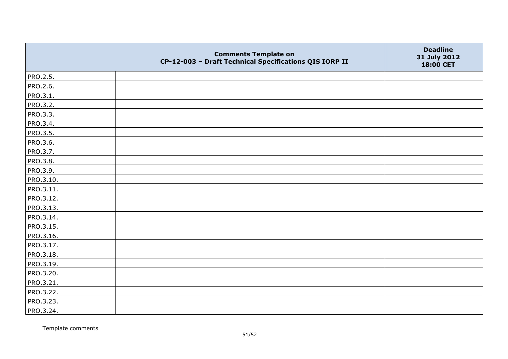|           | <b>Comments Template on</b><br>CP-12-003 - Draft Technical Specifications QIS IORP II | <b>Deadline</b><br>31 July 2012<br>18:00 CET |
|-----------|---------------------------------------------------------------------------------------|----------------------------------------------|
| PRO.2.5.  |                                                                                       |                                              |
| PRO.2.6.  |                                                                                       |                                              |
| PRO.3.1.  |                                                                                       |                                              |
| PRO.3.2.  |                                                                                       |                                              |
| PRO.3.3.  |                                                                                       |                                              |
| PRO.3.4.  |                                                                                       |                                              |
| PRO.3.5.  |                                                                                       |                                              |
| PRO.3.6.  |                                                                                       |                                              |
| PRO.3.7.  |                                                                                       |                                              |
| PRO.3.8.  |                                                                                       |                                              |
| PRO.3.9.  |                                                                                       |                                              |
| PRO.3.10. |                                                                                       |                                              |
| PRO.3.11. |                                                                                       |                                              |
| PRO.3.12. |                                                                                       |                                              |
| PRO.3.13. |                                                                                       |                                              |
| PRO.3.14. |                                                                                       |                                              |
| PRO.3.15. |                                                                                       |                                              |
| PRO.3.16. |                                                                                       |                                              |
| PRO.3.17. |                                                                                       |                                              |
| PRO.3.18. |                                                                                       |                                              |
| PRO.3.19. |                                                                                       |                                              |
| PRO.3.20. |                                                                                       |                                              |
| PRO.3.21. |                                                                                       |                                              |
| PRO.3.22. |                                                                                       |                                              |
| PRO.3.23. |                                                                                       |                                              |
| PRO.3.24. |                                                                                       |                                              |